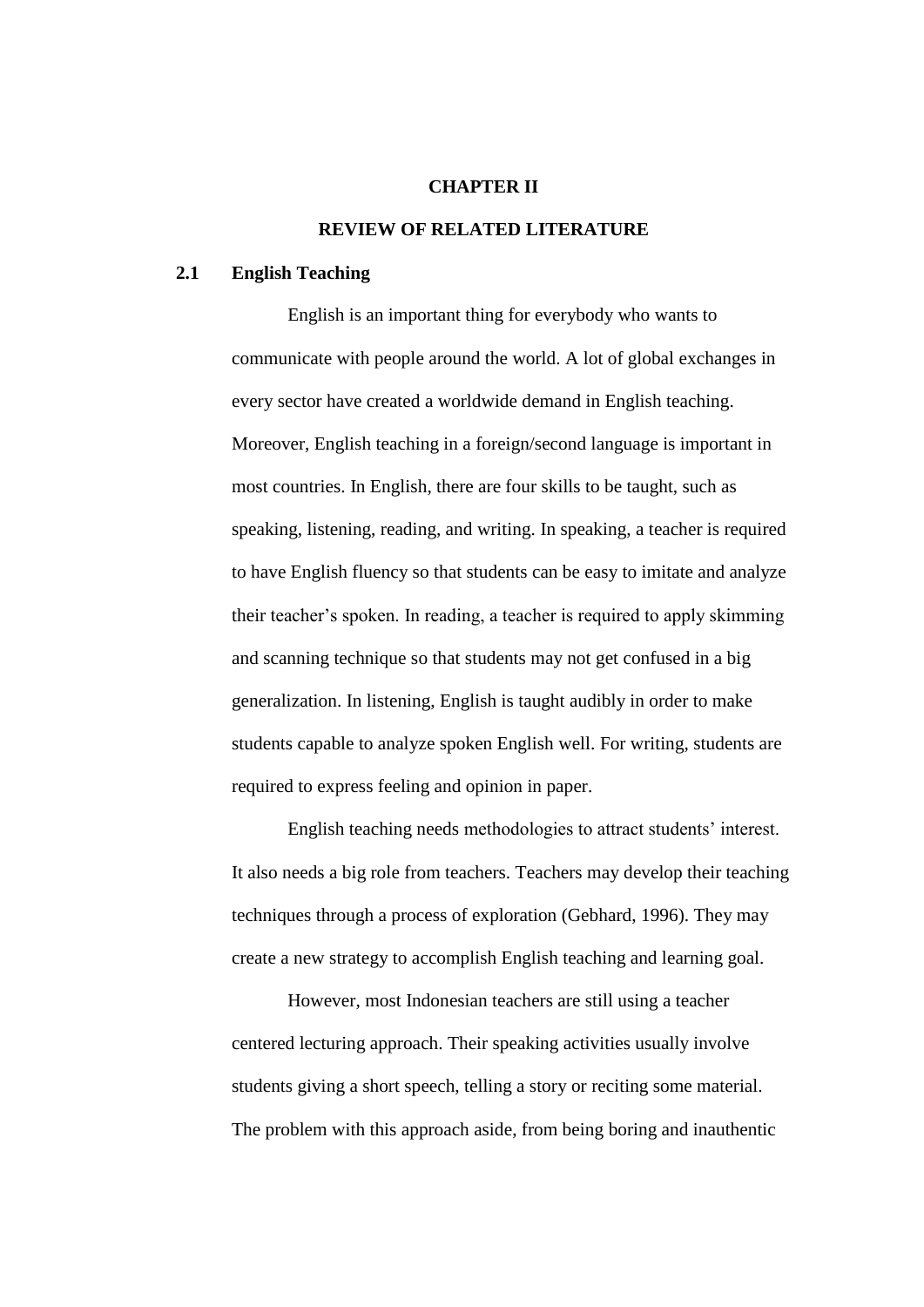### **CHAPTER II**

# **REVIEW OF RELATED LITERATURE**

### **2.1 English Teaching**

English is an important thing for everybody who wants to communicate with people around the world. A lot of global exchanges in every sector have created a worldwide demand in English teaching. Moreover, English teaching in a foreign/second language is important in most countries. In English, there are four skills to be taught, such as speaking, listening, reading, and writing. In speaking, a teacher is required to have English fluency so that students can be easy to imitate and analyze their teacher's spoken. In reading, a teacher is required to apply skimming and scanning technique so that students may not get confused in a big generalization. In listening, English is taught audibly in order to make students capable to analyze spoken English well. For writing, students are required to express feeling and opinion in paper.

English teaching needs methodologies to attract students' interest. It also needs a big role from teachers. Teachers may develop their teaching techniques through a process of exploration (Gebhard, 1996). They may create a new strategy to accomplish English teaching and learning goal.

However, most Indonesian teachers are still using a teacher centered lecturing approach. Their speaking activities usually involve students giving a short speech, telling a story or reciting some material. The problem with this approach aside, from being boring and inauthentic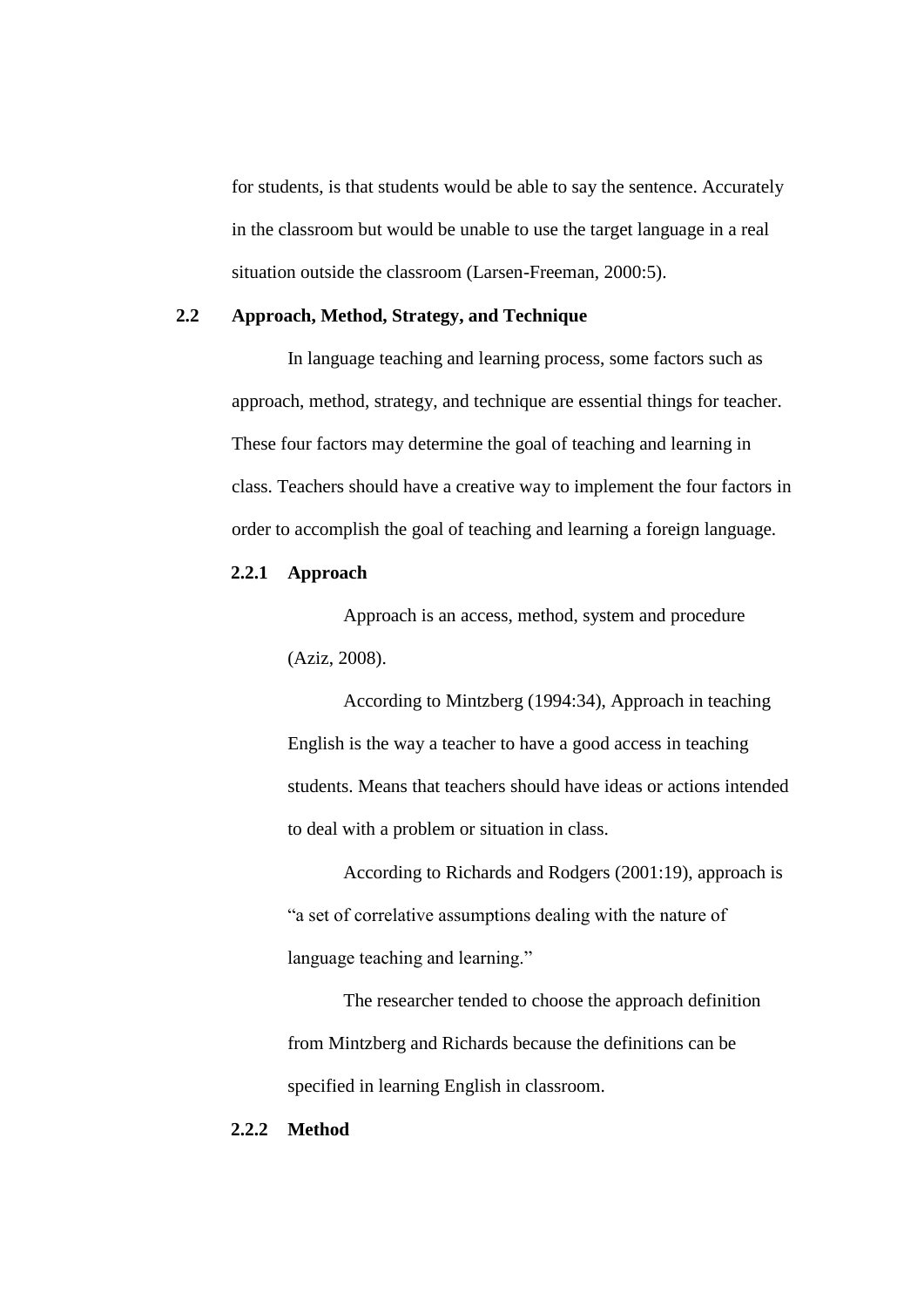for students, is that students would be able to say the sentence. Accurately in the classroom but would be unable to use the target language in a real situation outside the classroom (Larsen-Freeman, 2000:5).

### **2.2 Approach, Method, Strategy, and Technique**

In language teaching and learning process, some factors such as approach, method, strategy, and technique are essential things for teacher. These four factors may determine the goal of teaching and learning in class. Teachers should have a creative way to implement the four factors in order to accomplish the goal of teaching and learning a foreign language.

# **2.2.1 Approach**

Approach is an access, method, system and procedure (Aziz, 2008).

According to Mintzberg (1994:34), Approach in teaching English is the way a teacher to have a good access in teaching students. Means that teachers should have ideas or actions intended to deal with a problem or situation in class.

According to Richards and Rodgers (2001:19), approach is "a set of correlative assumptions dealing with the nature of language teaching and learning."

The researcher tended to choose the approach definition from Mintzberg and Richards because the definitions can be specified in learning English in classroom.

### **2.2.2 Method**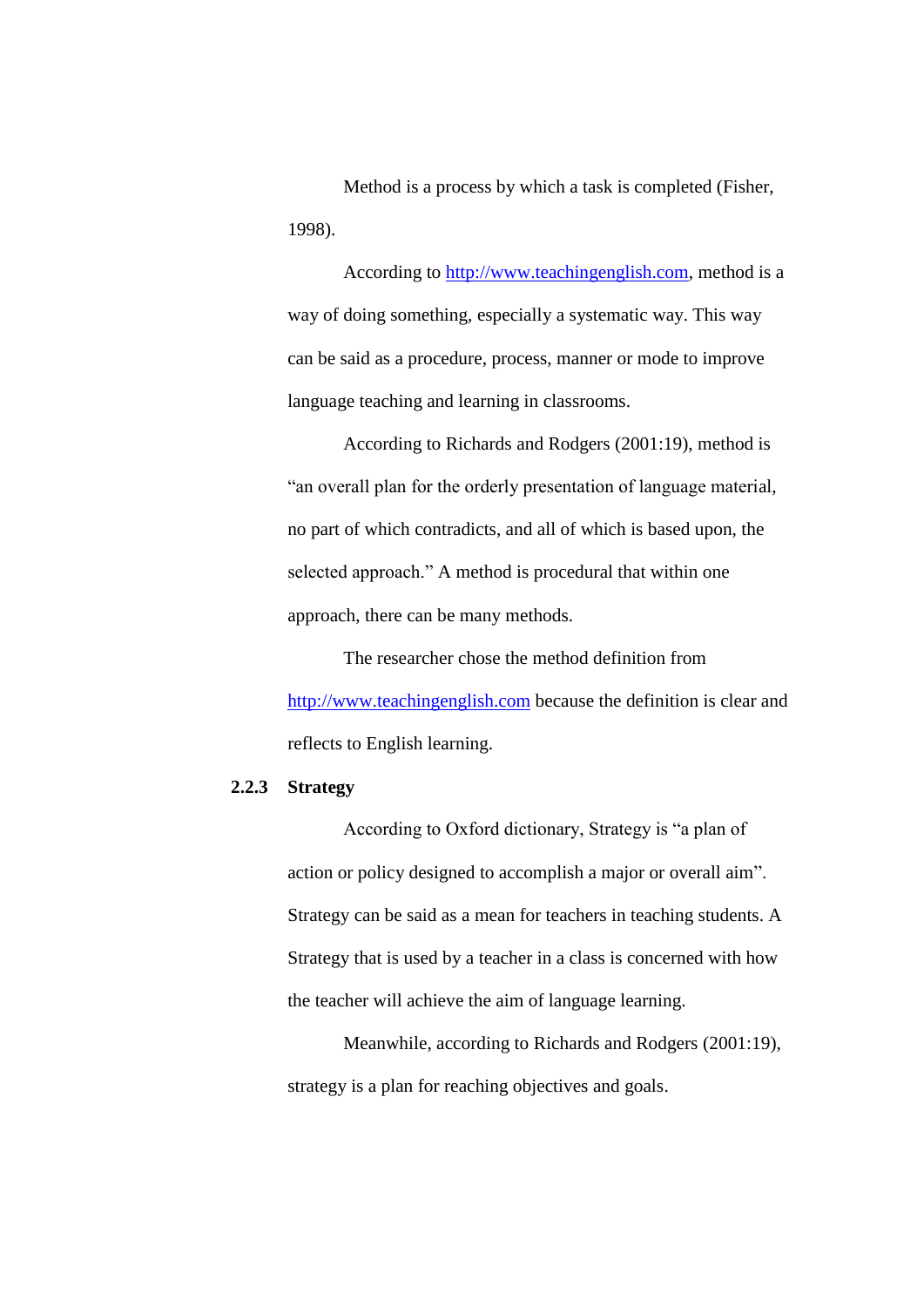Method is a process by which a task is completed (Fisher, 1998).

According to [http://www.teachingenglish.com,](http://www.teachingenglish.com/) method is a way of doing something, especially a systematic way. This way can be said as a procedure, process, manner or mode to improve language teaching and learning in classrooms.

According to Richards and Rodgers (2001:19), method is "an overall plan for the orderly presentation of language material, no part of which contradicts, and all of which is based upon, the selected approach." A method is procedural that within one approach, there can be many methods.

The researcher chose the method definition from [http://www.teachingenglish.com](http://www.teachingenglish.com/) because the definition is clear and reflects to English learning.

### **2.2.3 Strategy**

According to Oxford dictionary, Strategy is "a plan of action or policy designed to accomplish a major or overall aim". Strategy can be said as a mean for teachers in teaching students. A Strategy that is used by a teacher in a class is concerned with how the teacher will achieve the aim of language learning.

Meanwhile, according to Richards and Rodgers (2001:19), strategy is a plan for reaching objectives and goals.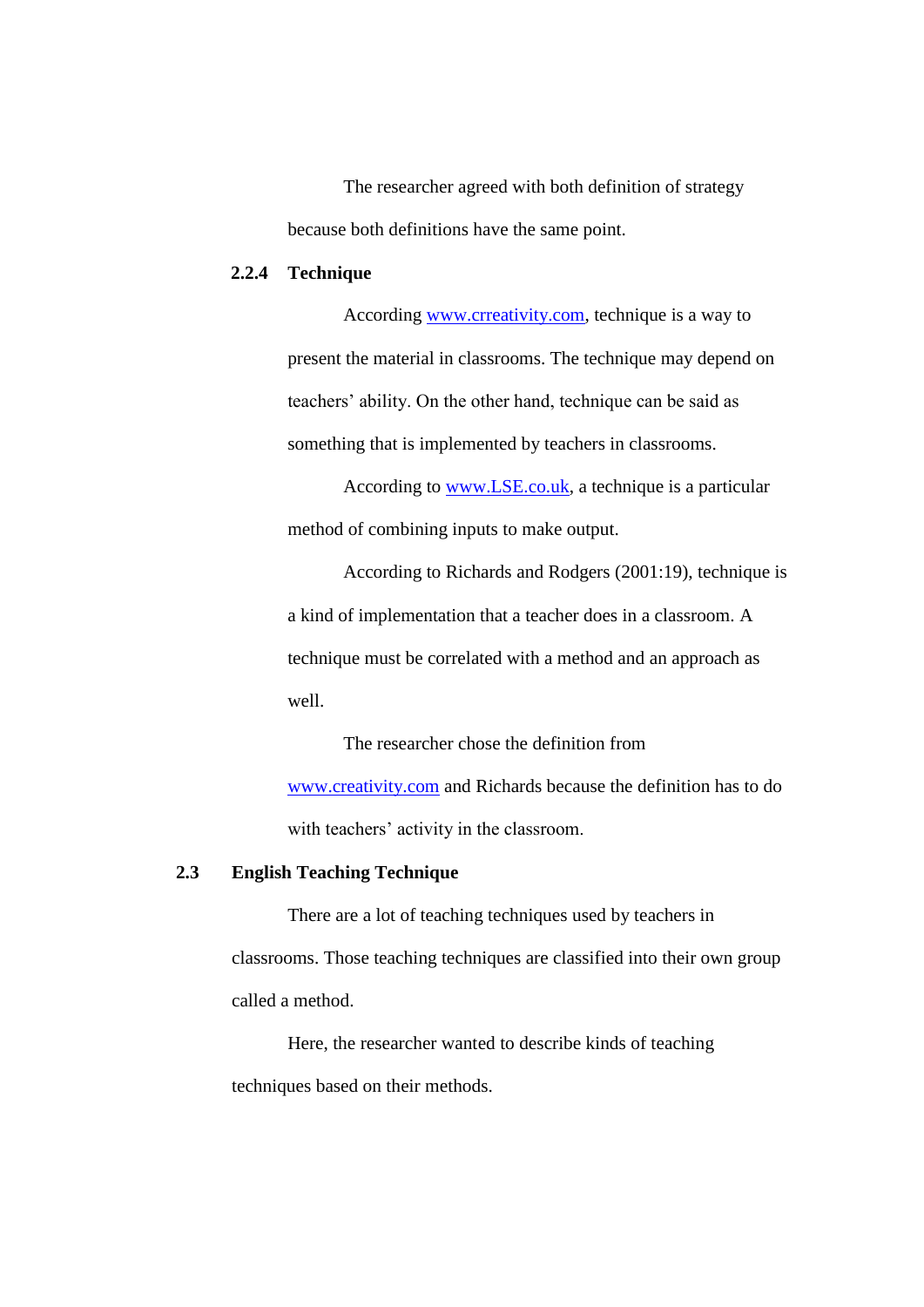The researcher agreed with both definition of strategy because both definitions have the same point.

### **2.2.4 Technique**

According [www.crreativity.com,](http://www.crreativity.com/) technique is a way to present the material in classrooms. The technique may depend on teachers' ability. On the other hand, technique can be said as something that is implemented by teachers in classrooms.

According to [www.LSE.co.uk,](http://www.lse.co.uk/) a technique is a particular method of combining inputs to make output.

According to Richards and Rodgers (2001:19), technique is a kind of implementation that a teacher does in a classroom. A technique must be correlated with a method and an approach as well.

The researcher chose the definition from [www.creativity.com](http://www.creativity.com/) and Richards because the definition has to do with teachers' activity in the classroom.

#### **2.3 English Teaching Technique**

There are a lot of teaching techniques used by teachers in classrooms. Those teaching techniques are classified into their own group called a method.

Here, the researcher wanted to describe kinds of teaching techniques based on their methods.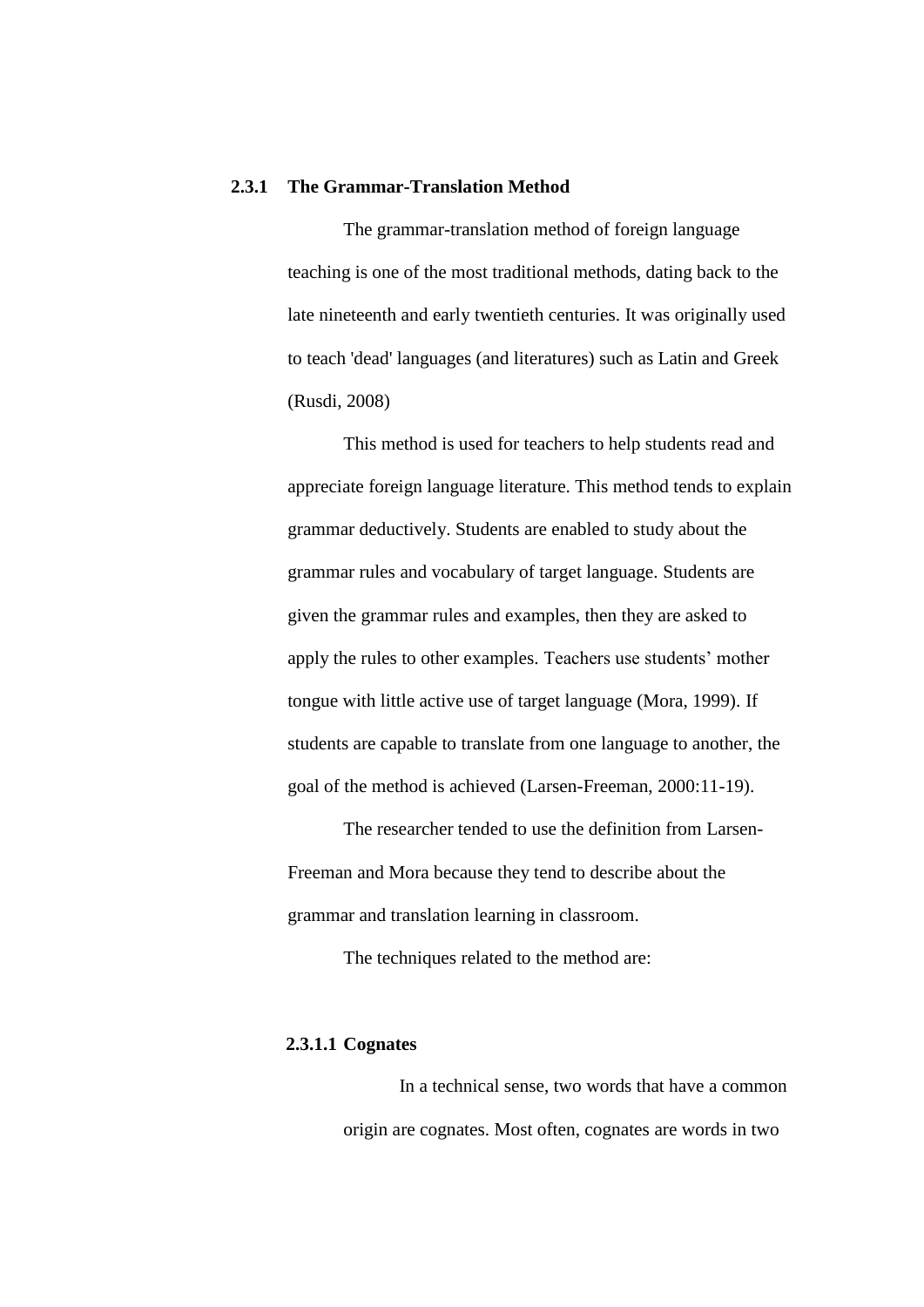### **2.3.1 The Grammar-Translation Method**

The grammar-translation method of foreign language teaching is one of the most traditional methods, dating back to the late nineteenth and early twentieth centuries. It was originally used to teach 'dead' languages (and literatures) such as Latin and Greek (Rusdi, 2008)

This method is used for teachers to help students read and appreciate foreign language literature. This method tends to explain grammar deductively. Students are enabled to study about the grammar rules and vocabulary of target language. Students are given the grammar rules and examples, then they are asked to apply the rules to other examples. Teachers use students' mother tongue with little active use of target language (Mora, 1999). If students are capable to translate from one language to another, the goal of the method is achieved (Larsen-Freeman, 2000:11-19).

The researcher tended to use the definition from Larsen-Freeman and Mora because they tend to describe about the grammar and translation learning in classroom.

The techniques related to the method are:

### **2.3.1.1 Cognates**

In a technical sense, two words that have a common origin are cognates. Most often, cognates are words in two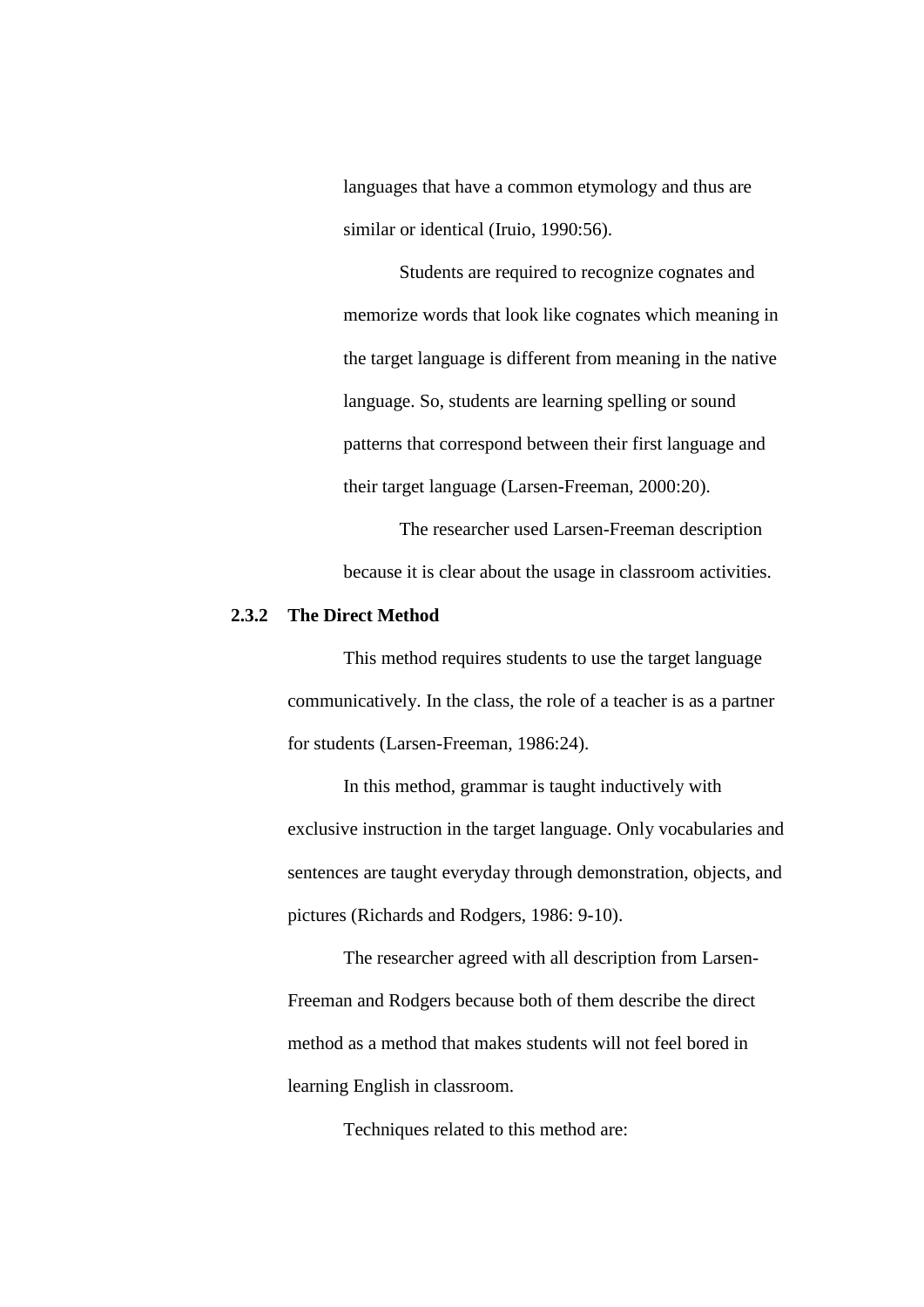languages that have a common etymology and thus are similar or identical (Iruio, 1990:56).

Students are required to recognize cognates and memorize words that look like cognates which meaning in the target language is different from meaning in the native language. So, students are learning spelling or sound patterns that correspond between their first language and their target language (Larsen-Freeman, 2000:20).

The researcher used Larsen-Freeman description because it is clear about the usage in classroom activities.

#### **2.3.2 The Direct Method**

This method requires students to use the target language communicatively. In the class, the role of a teacher is as a partner for students (Larsen-Freeman, 1986:24).

In this method, grammar is taught inductively with exclusive instruction in the target language. Only vocabularies and sentences are taught everyday through demonstration, objects, and pictures (Richards and Rodgers, 1986: 9-10).

The researcher agreed with all description from Larsen-Freeman and Rodgers because both of them describe the direct method as a method that makes students will not feel bored in learning English in classroom.

Techniques related to this method are: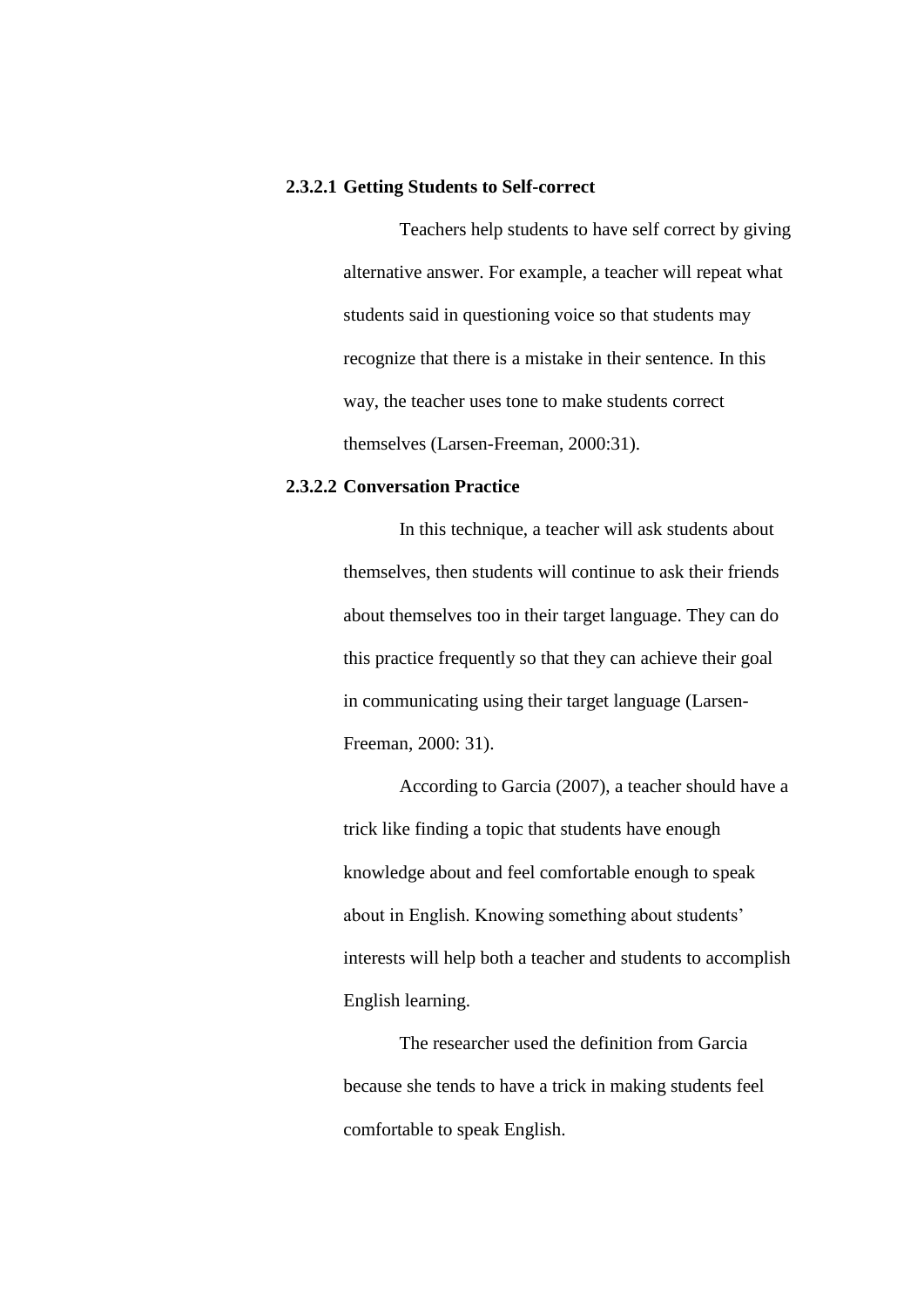#### **2.3.2.1 Getting Students to Self-correct**

Teachers help students to have self correct by giving alternative answer. For example, a teacher will repeat what students said in questioning voice so that students may recognize that there is a mistake in their sentence. In this way, the teacher uses tone to make students correct themselves (Larsen-Freeman, 2000:31).

### **2.3.2.2 Conversation Practice**

In this technique, a teacher will ask students about themselves, then students will continue to ask their friends about themselves too in their target language. They can do this practice frequently so that they can achieve their goal in communicating using their target language (Larsen-Freeman, 2000: 31).

According to Garcia (2007), a teacher should have a trick like finding a topic that students have enough knowledge about and feel comfortable enough to speak about in English. Knowing something about students' interests will help both a teacher and students to accomplish English learning.

The researcher used the definition from Garcia because she tends to have a trick in making students feel comfortable to speak English.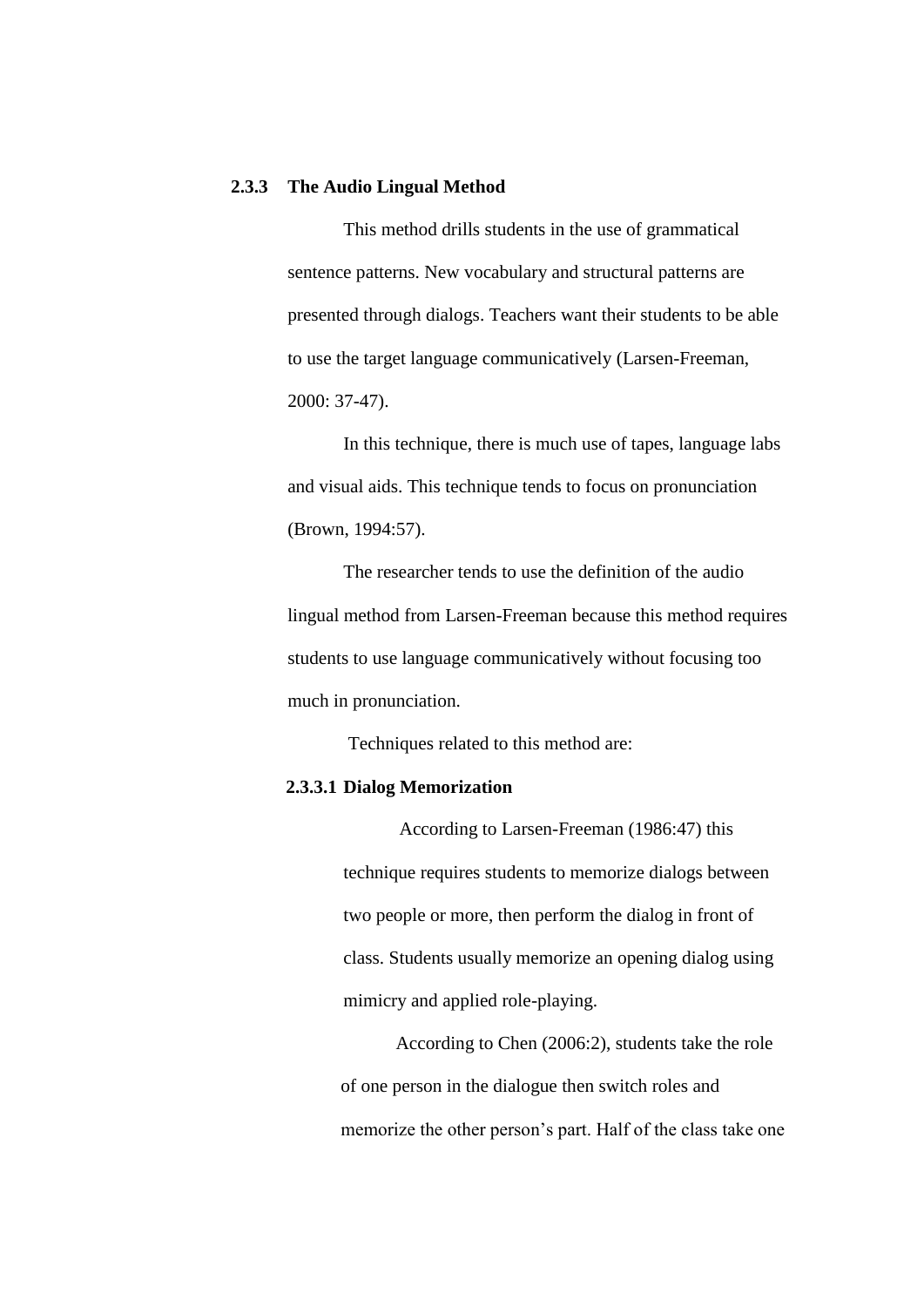#### **2.3.3 The Audio Lingual Method**

This method drills students in the use of grammatical sentence patterns. New vocabulary and structural patterns are presented through dialogs. Teachers want their students to be able to use the target language communicatively (Larsen-Freeman, 2000: 37-47).

In this technique, there is much use of tapes, language labs and visual aids. This technique tends to focus on pronunciation (Brown, 1994:57).

The researcher tends to use the definition of the audio lingual method from Larsen-Freeman because this method requires students to use language communicatively without focusing too much in pronunciation.

Techniques related to this method are:

#### **2.3.3.1 Dialog Memorization**

According to Larsen-Freeman (1986:47) this technique requires students to memorize dialogs between two people or more, then perform the dialog in front of class. Students usually memorize an opening dialog using mimicry and applied role-playing.

According to Chen (2006:2), students take the role of one person in the dialogue then switch roles and memorize the other person's part. Half of the class take one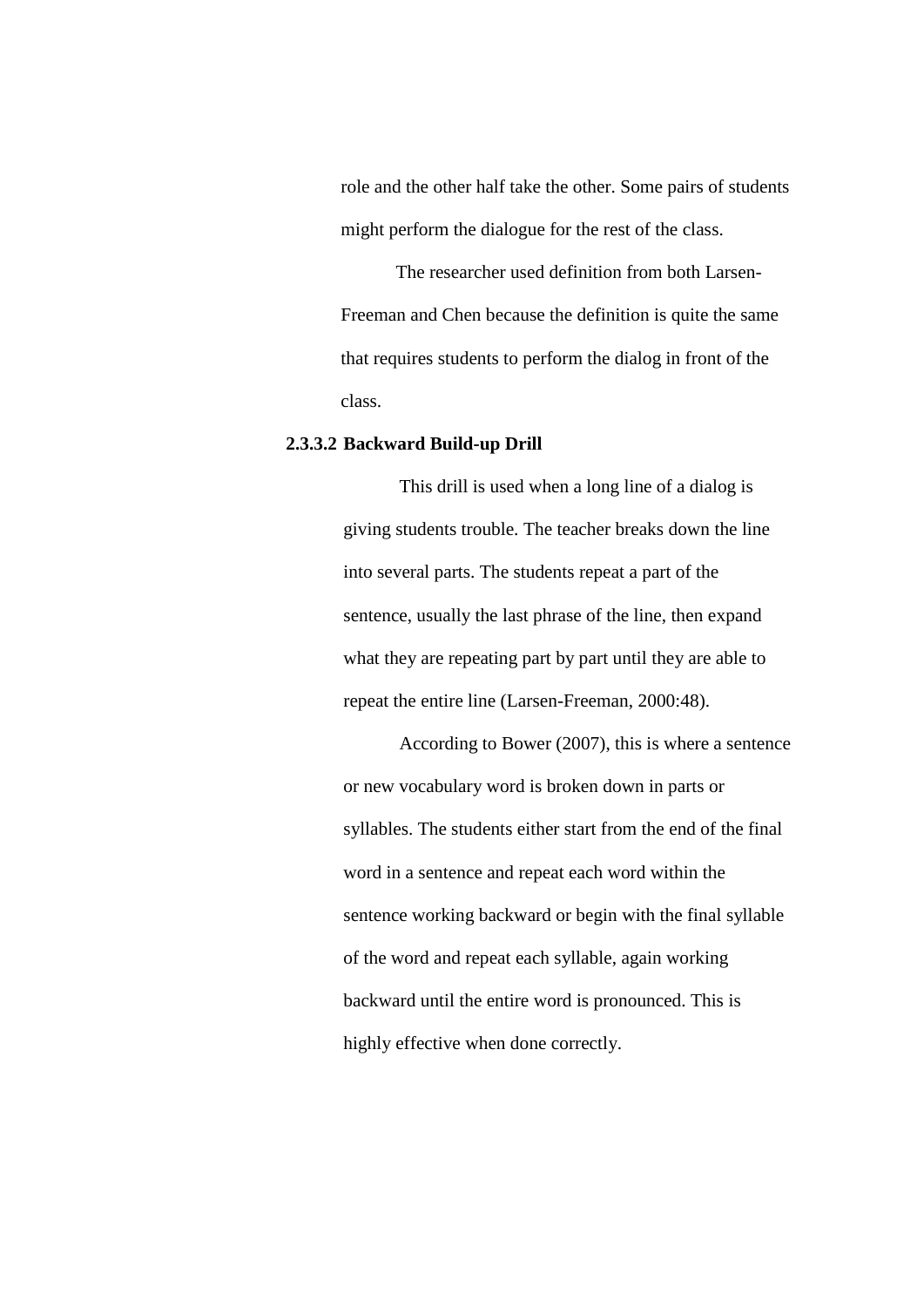role and the other half take the other. Some pairs of students might perform the dialogue for the rest of the class.

The researcher used definition from both Larsen-Freeman and Chen because the definition is quite the same that requires students to perform the dialog in front of the class.

#### **2.3.3.2 Backward Build-up Drill**

This drill is used when a long line of a dialog is giving students trouble. The teacher breaks down the line into several parts. The students repeat a part of the sentence, usually the last phrase of the line, then expand what they are repeating part by part until they are able to repeat the entire line (Larsen-Freeman, 2000:48).

According to Bower (2007), this is where a sentence or new vocabulary word is broken down in parts or syllables. The students either start from the end of the final word in a sentence and repeat each word within the sentence working backward or begin with the final syllable of the word and repeat each syllable, again working backward until the entire word is pronounced. This is highly effective when done correctly.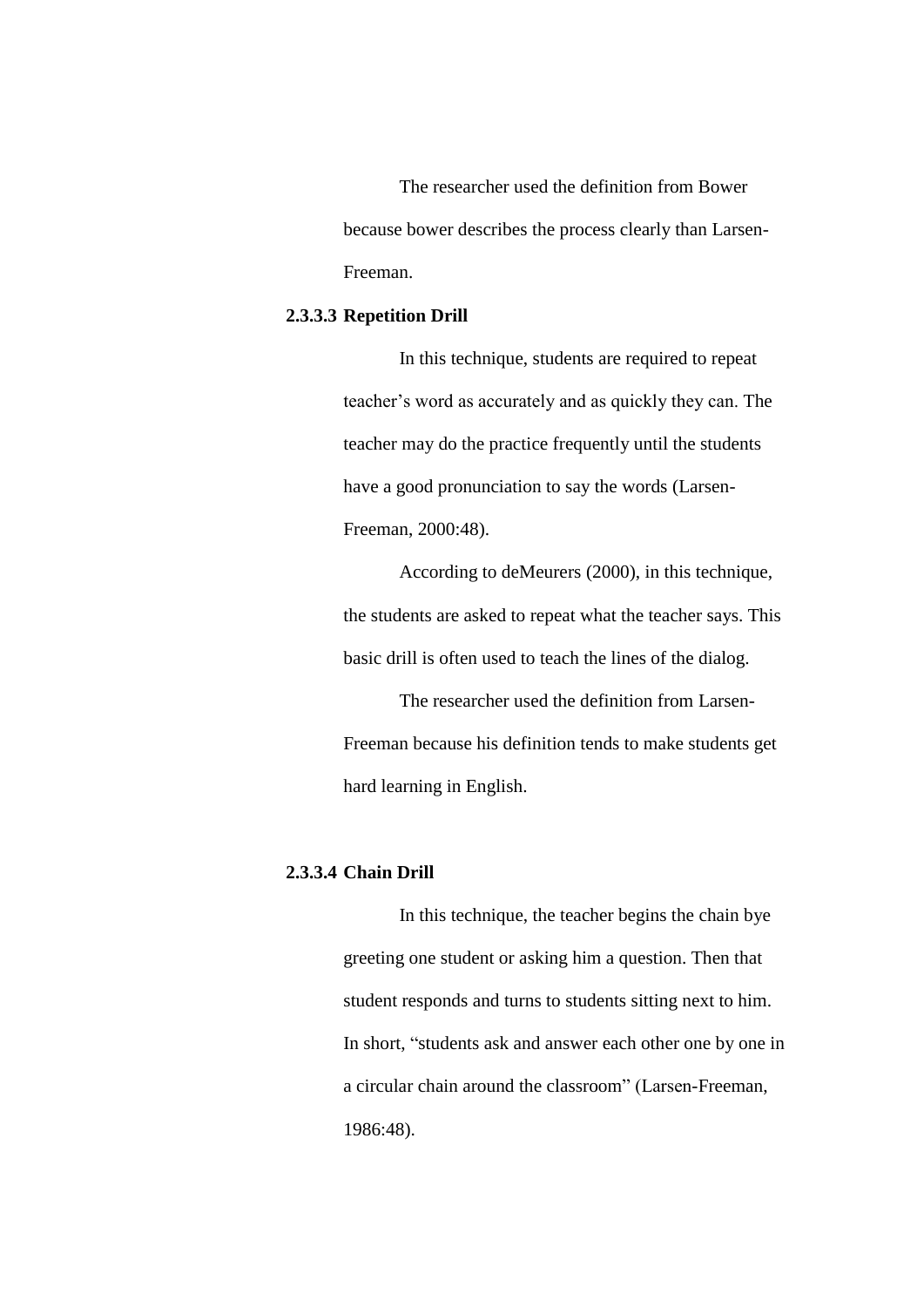The researcher used the definition from Bower because bower describes the process clearly than Larsen-Freeman.

# **2.3.3.3 Repetition Drill**

In this technique, students are required to repeat teacher's word as accurately and as quickly they can. The teacher may do the practice frequently until the students have a good pronunciation to say the words (Larsen-Freeman, 2000:48).

According to deMeurers (2000), in this technique, the students are asked to repeat what the teacher says. This basic drill is often used to teach the lines of the dialog.

The researcher used the definition from Larsen-Freeman because his definition tends to make students get hard learning in English.

# **2.3.3.4 Chain Drill**

In this technique, the teacher begins the chain bye greeting one student or asking him a question. Then that student responds and turns to students sitting next to him. In short, "students ask and answer each other one by one in a circular chain around the classroom" (Larsen-Freeman, 1986:48).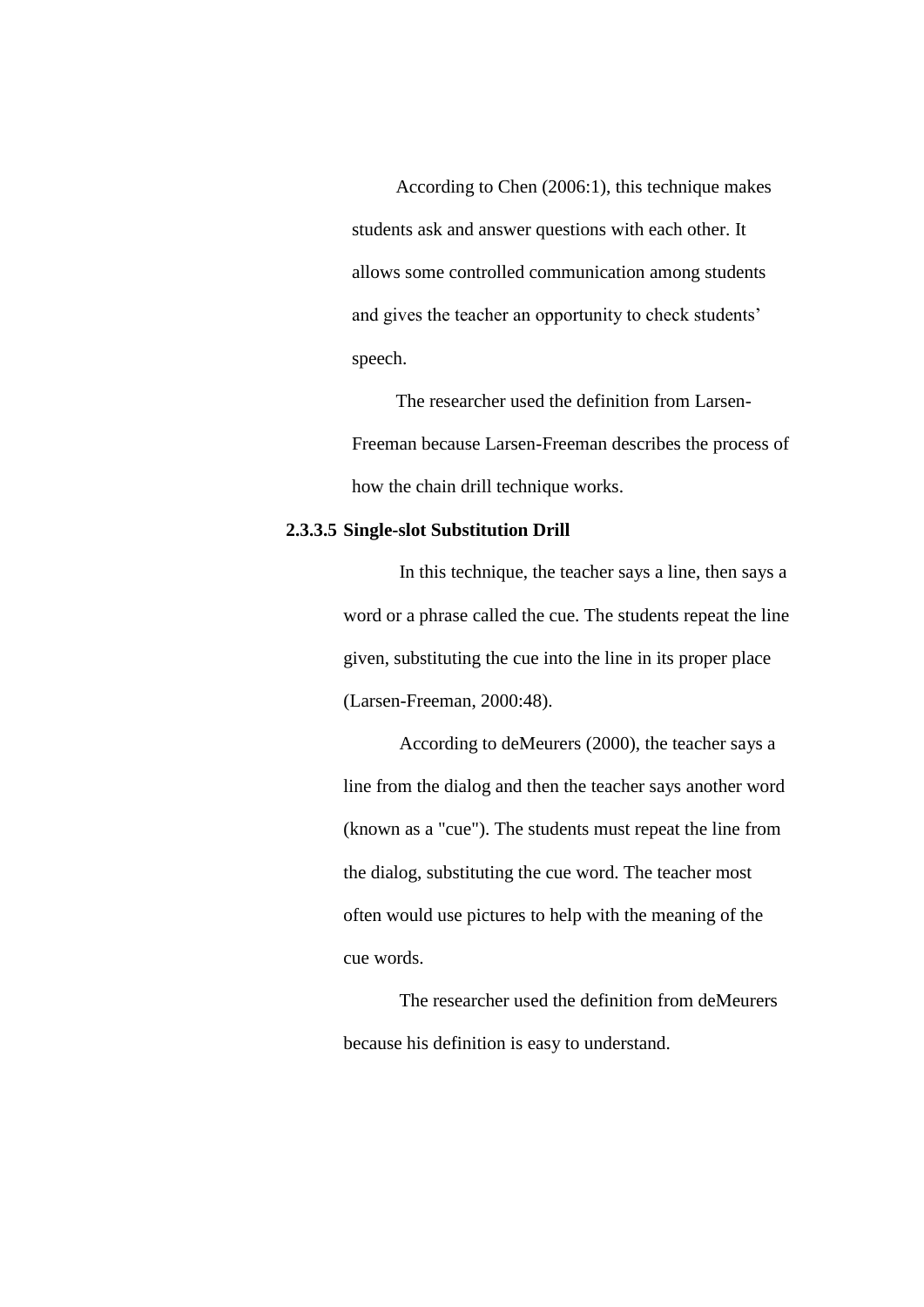According to Chen (2006:1), this technique makes students ask and answer questions with each other. It allows some controlled communication among students and gives the teacher an opportunity to check students' speech.

The researcher used the definition from Larsen-Freeman because Larsen-Freeman describes the process of how the chain drill technique works.

#### **2.3.3.5 Single-slot Substitution Drill**

In this technique, the teacher says a line, then says a word or a phrase called the cue. The students repeat the line given, substituting the cue into the line in its proper place (Larsen-Freeman, 2000:48).

According to deMeurers (2000), the teacher says a line from the dialog and then the teacher says another word (known as a "cue"). The students must repeat the line from the dialog, substituting the cue word. The teacher most often would use pictures to help with the meaning of the cue words.

The researcher used the definition from deMeurers because his definition is easy to understand.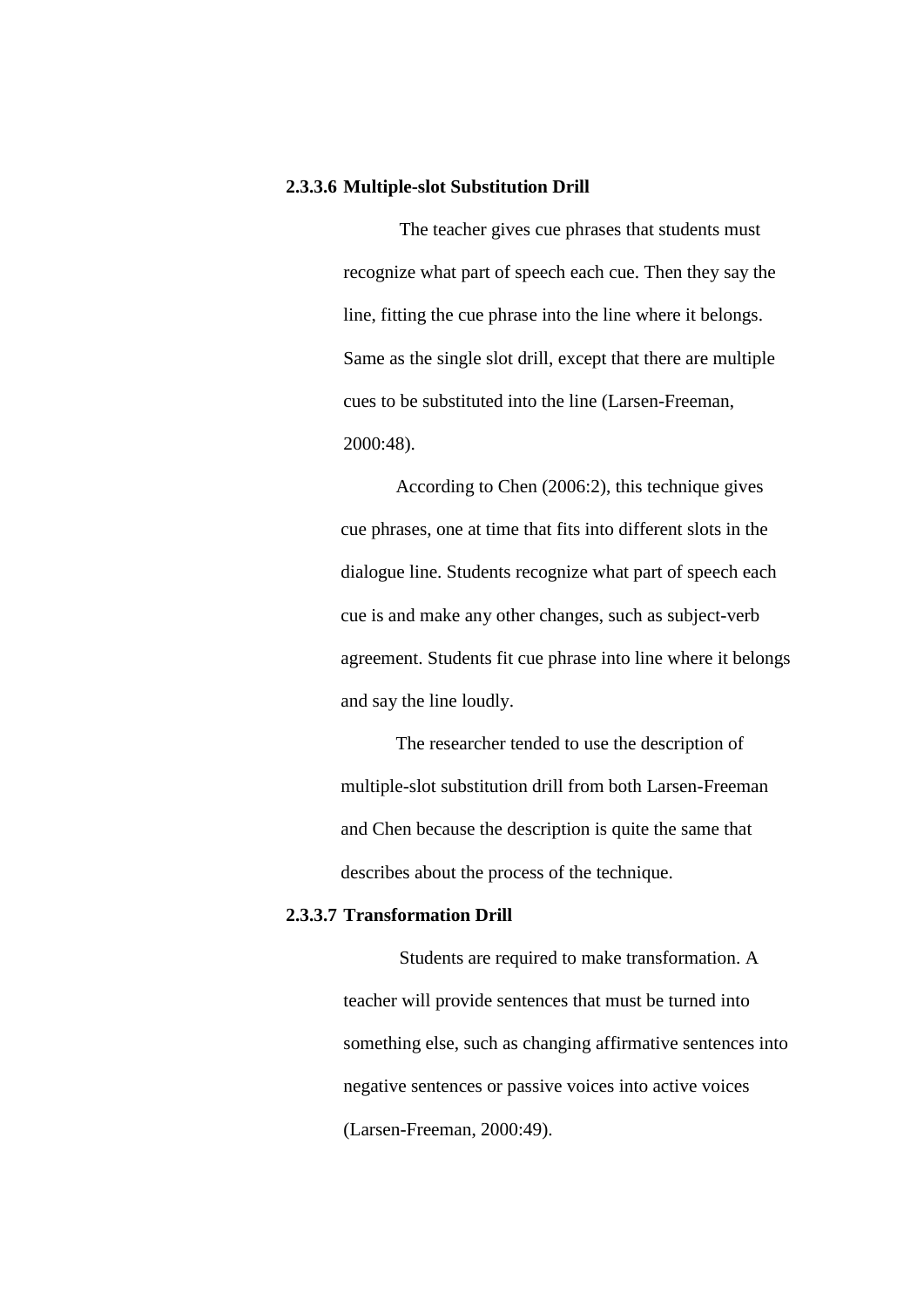#### **2.3.3.6 Multiple-slot Substitution Drill**

The teacher gives cue phrases that students must recognize what part of speech each cue. Then they say the line, fitting the cue phrase into the line where it belongs. Same as the single slot drill, except that there are multiple cues to be substituted into the line (Larsen-Freeman, 2000:48).

According to Chen (2006:2), this technique gives cue phrases, one at time that fits into different slots in the dialogue line. Students recognize what part of speech each cue is and make any other changes, such as subject-verb agreement. Students fit cue phrase into line where it belongs and say the line loudly.

The researcher tended to use the description of multiple-slot substitution drill from both Larsen-Freeman and Chen because the description is quite the same that describes about the process of the technique.

### **2.3.3.7 Transformation Drill**

Students are required to make transformation. A teacher will provide sentences that must be turned into something else, such as changing affirmative sentences into negative sentences or passive voices into active voices (Larsen-Freeman, 2000:49).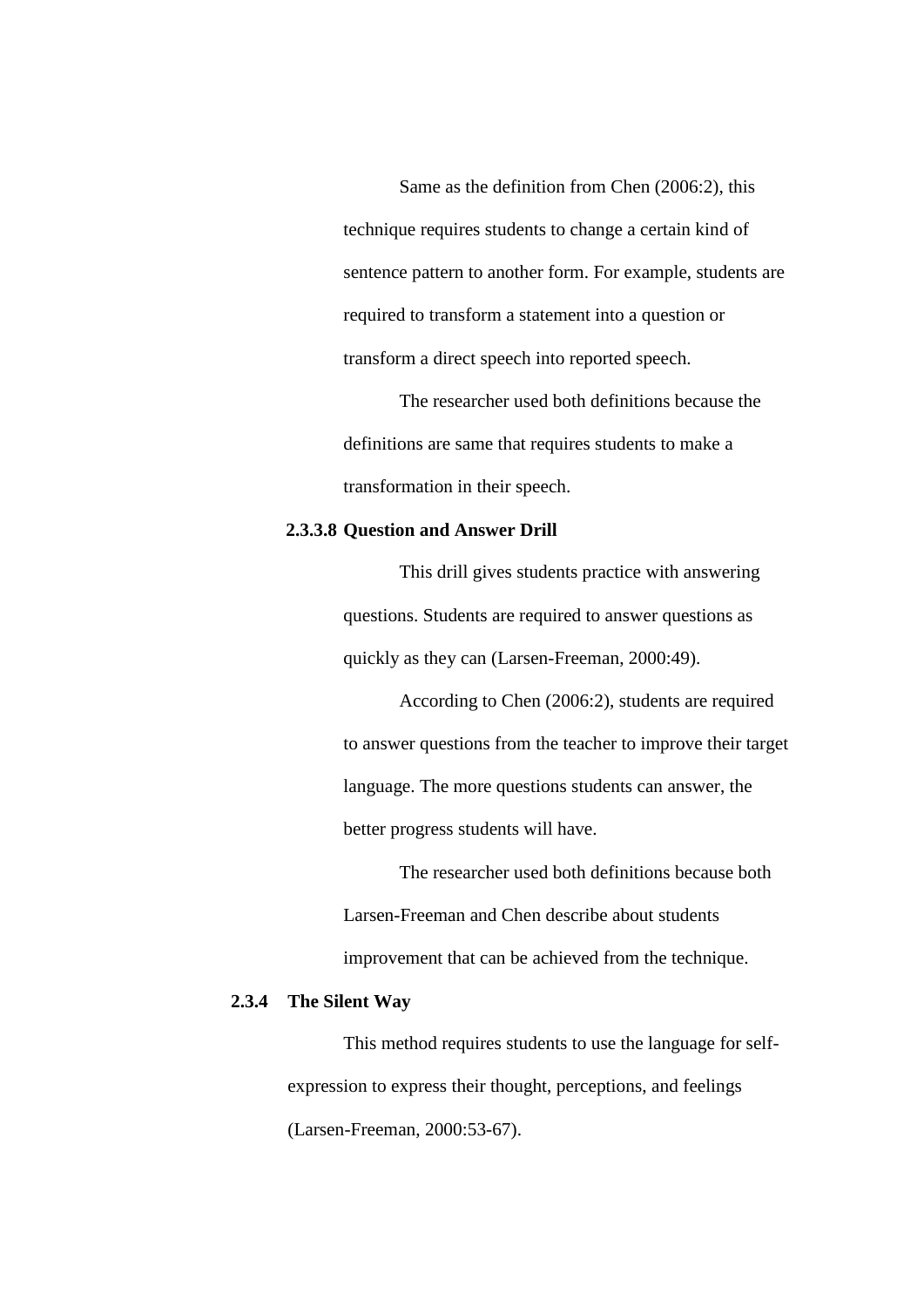Same as the definition from Chen (2006:2), this technique requires students to change a certain kind of sentence pattern to another form. For example, students are required to transform a statement into a question or transform a direct speech into reported speech.

The researcher used both definitions because the definitions are same that requires students to make a transformation in their speech.

#### **2.3.3.8 Question and Answer Drill**

This drill gives students practice with answering questions. Students are required to answer questions as quickly as they can (Larsen-Freeman, 2000:49).

According to Chen (2006:2), students are required to answer questions from the teacher to improve their target language. The more questions students can answer, the better progress students will have.

The researcher used both definitions because both Larsen-Freeman and Chen describe about students improvement that can be achieved from the technique.

# **2.3.4 The Silent Way**

This method requires students to use the language for selfexpression to express their thought, perceptions, and feelings (Larsen-Freeman, 2000:53-67).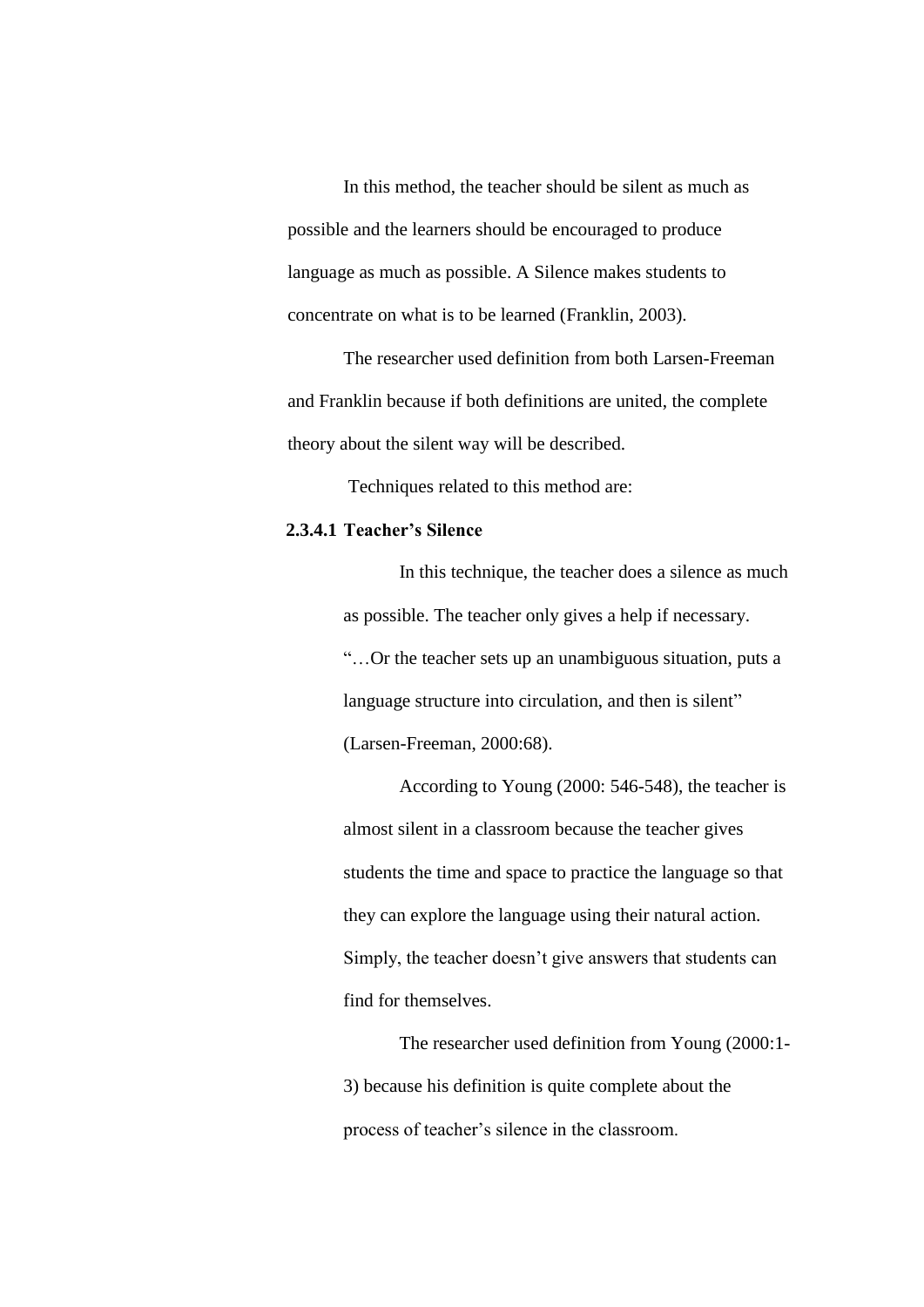In this method, the teacher should be silent as much as possible and the learners should be encouraged to produce language as much as possible. A Silence makes students to concentrate on what is to be learned (Franklin, 2003).

The researcher used definition from both Larsen-Freeman and Franklin because if both definitions are united, the complete theory about the silent way will be described.

Techniques related to this method are:

### **2.3.4.1 Teacher's Silence**

In this technique, the teacher does a silence as much as possible. The teacher only gives a help if necessary. "…Or the teacher sets up an unambiguous situation, puts a language structure into circulation, and then is silent" (Larsen-Freeman, 2000:68).

According to Young (2000: 546-548), the teacher is almost silent in a classroom because the teacher gives students the time and space to practice the language so that they can explore the language using their natural action. Simply, the teacher doesn't give answers that students can find for themselves.

The researcher used definition from Young (2000:1- 3) because his definition is quite complete about the process of teacher's silence in the classroom.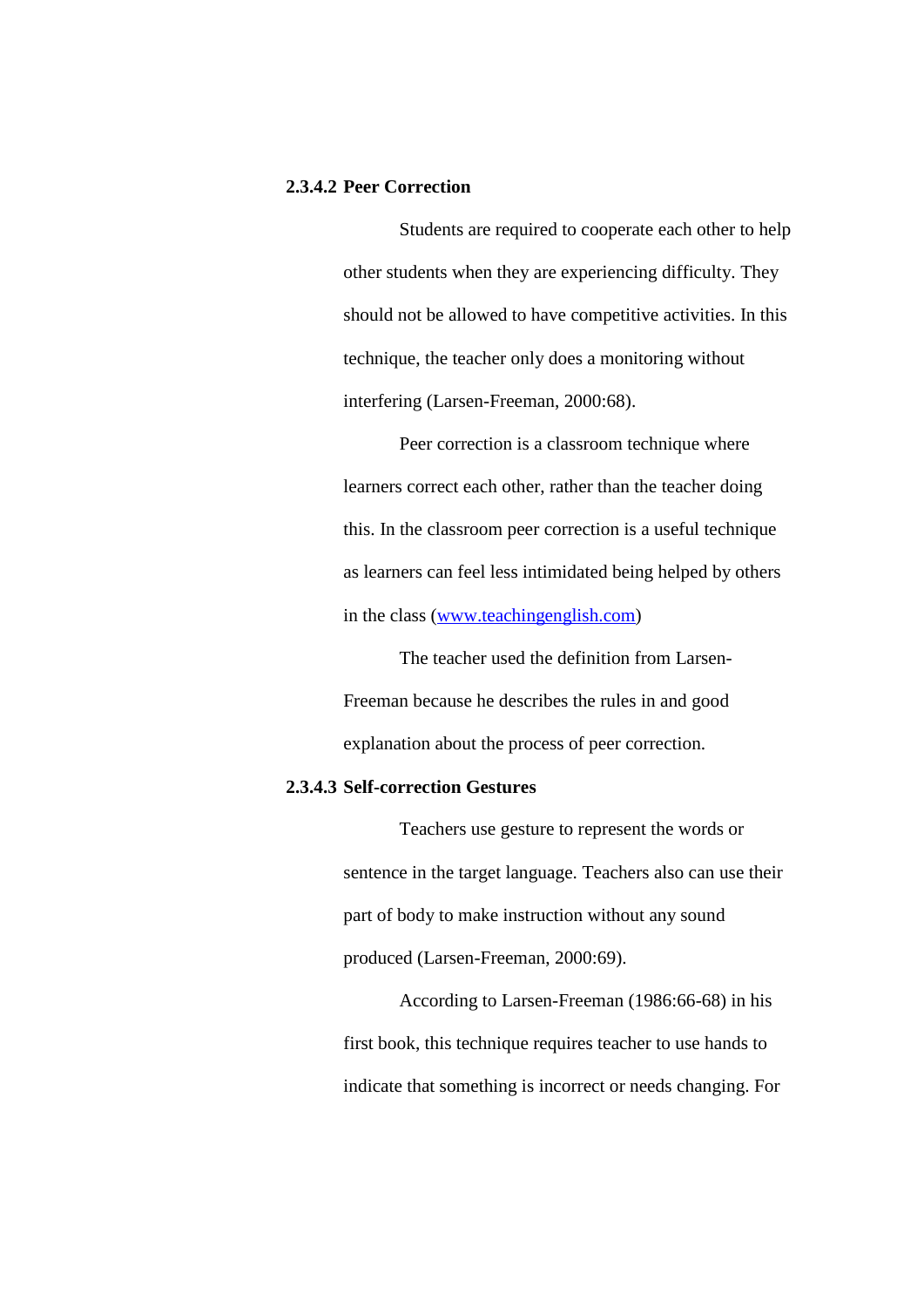### **2.3.4.2 Peer Correction**

Students are required to cooperate each other to help other students when they are experiencing difficulty. They should not be allowed to have competitive activities. In this technique, the teacher only does a monitoring without interfering (Larsen-Freeman, 2000:68).

Peer correction is a classroom technique where learners correct each other, rather than the teacher doing this. In the classroom peer correction is a useful technique as learners can feel less intimidated being helped by others in the class [\(www.teachingenglish.com\)](http://www.teachingenglish.com/)

The teacher used the definition from Larsen-Freeman because he describes the rules in and good explanation about the process of peer correction.

### **2.3.4.3 Self-correction Gestures**

Teachers use gesture to represent the words or sentence in the target language. Teachers also can use their part of body to make instruction without any sound produced (Larsen-Freeman, 2000:69).

According to Larsen-Freeman (1986:66-68) in his first book, this technique requires teacher to use hands to indicate that something is incorrect or needs changing. For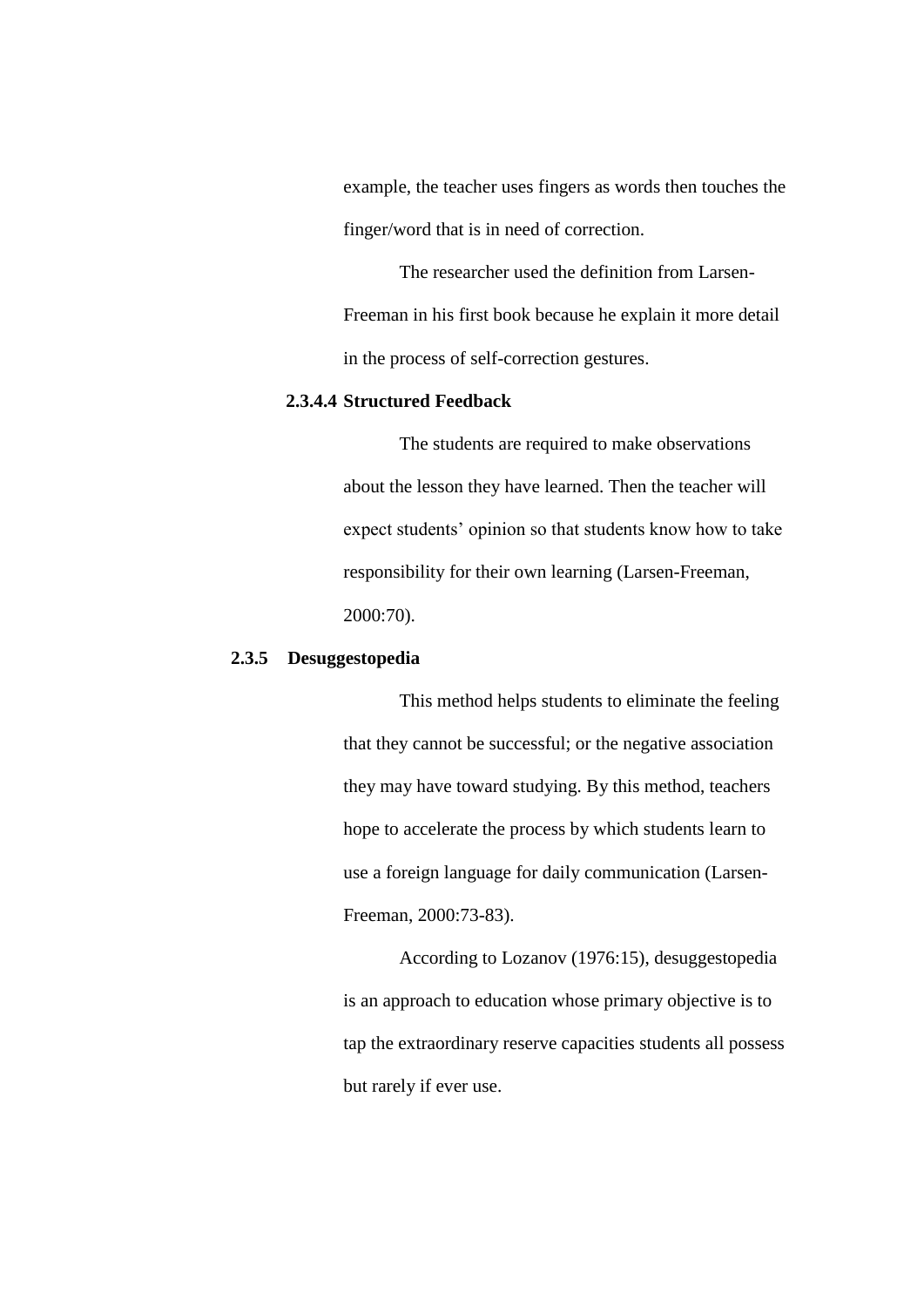example, the teacher uses fingers as words then touches the finger/word that is in need of correction.

The researcher used the definition from Larsen-Freeman in his first book because he explain it more detail in the process of self-correction gestures.

# **2.3.4.4 Structured Feedback**

The students are required to make observations about the lesson they have learned. Then the teacher will expect students' opinion so that students know how to take responsibility for their own learning (Larsen-Freeman, 2000:70).

### **2.3.5 Desuggestopedia**

This method helps students to eliminate the feeling that they cannot be successful; or the negative association they may have toward studying. By this method, teachers hope to accelerate the process by which students learn to use a foreign language for daily communication (Larsen-Freeman, 2000:73-83).

According to Lozanov (1976:15), desuggestopedia is an approach to education whose primary objective is to tap the extraordinary reserve capacities students all possess but rarely if ever use.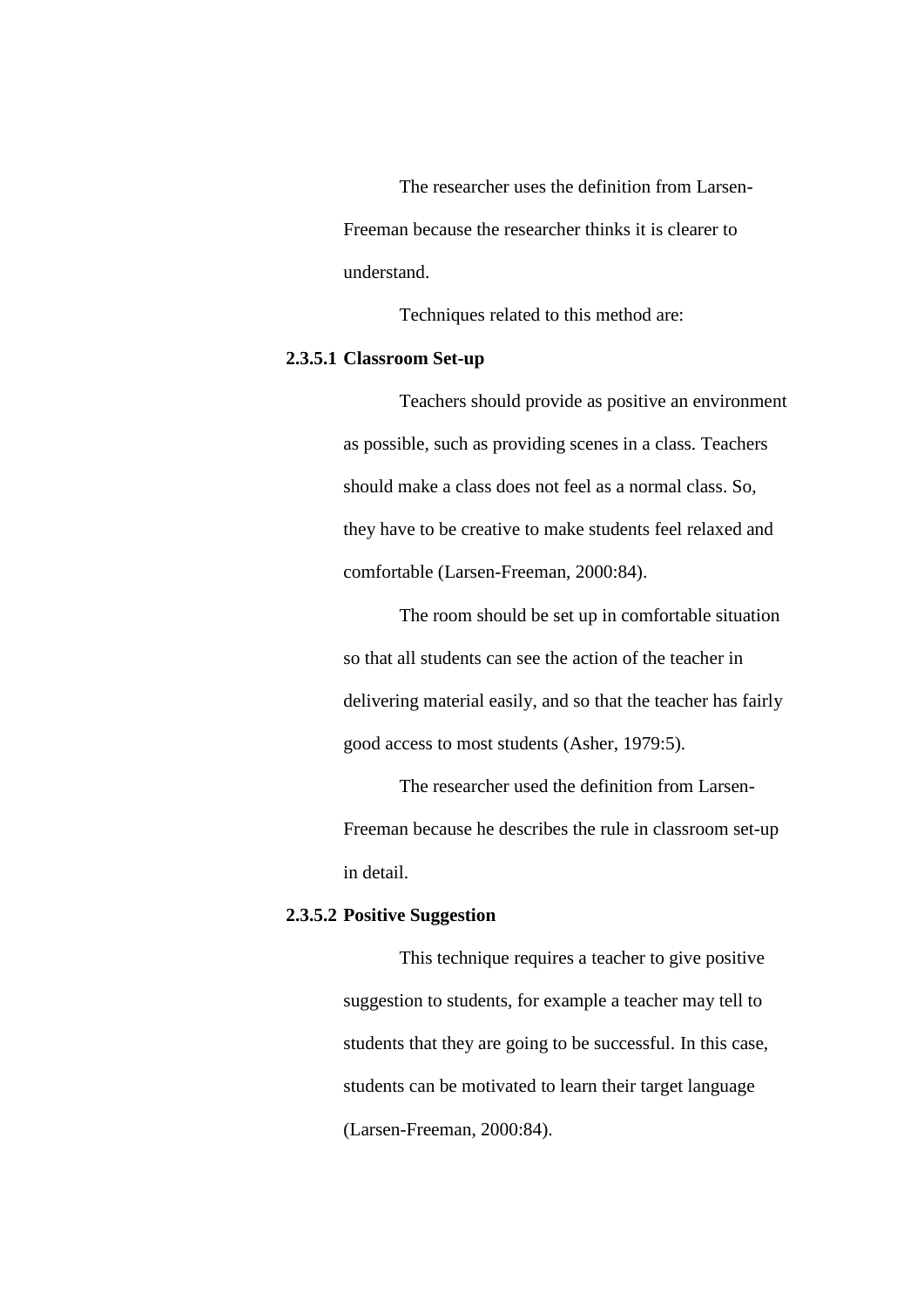The researcher uses the definition from Larsen-Freeman because the researcher thinks it is clearer to understand.

Techniques related to this method are:

# **2.3.5.1 Classroom Set-up**

Teachers should provide as positive an environment as possible, such as providing scenes in a class. Teachers should make a class does not feel as a normal class. So, they have to be creative to make students feel relaxed and comfortable (Larsen-Freeman, 2000:84).

The room should be set up in comfortable situation so that all students can see the action of the teacher in delivering material easily, and so that the teacher has fairly good access to most students (Asher, 1979:5).

The researcher used the definition from Larsen-Freeman because he describes the rule in classroom set-up in detail.

# **2.3.5.2 Positive Suggestion**

This technique requires a teacher to give positive suggestion to students, for example a teacher may tell to students that they are going to be successful. In this case, students can be motivated to learn their target language (Larsen-Freeman, 2000:84).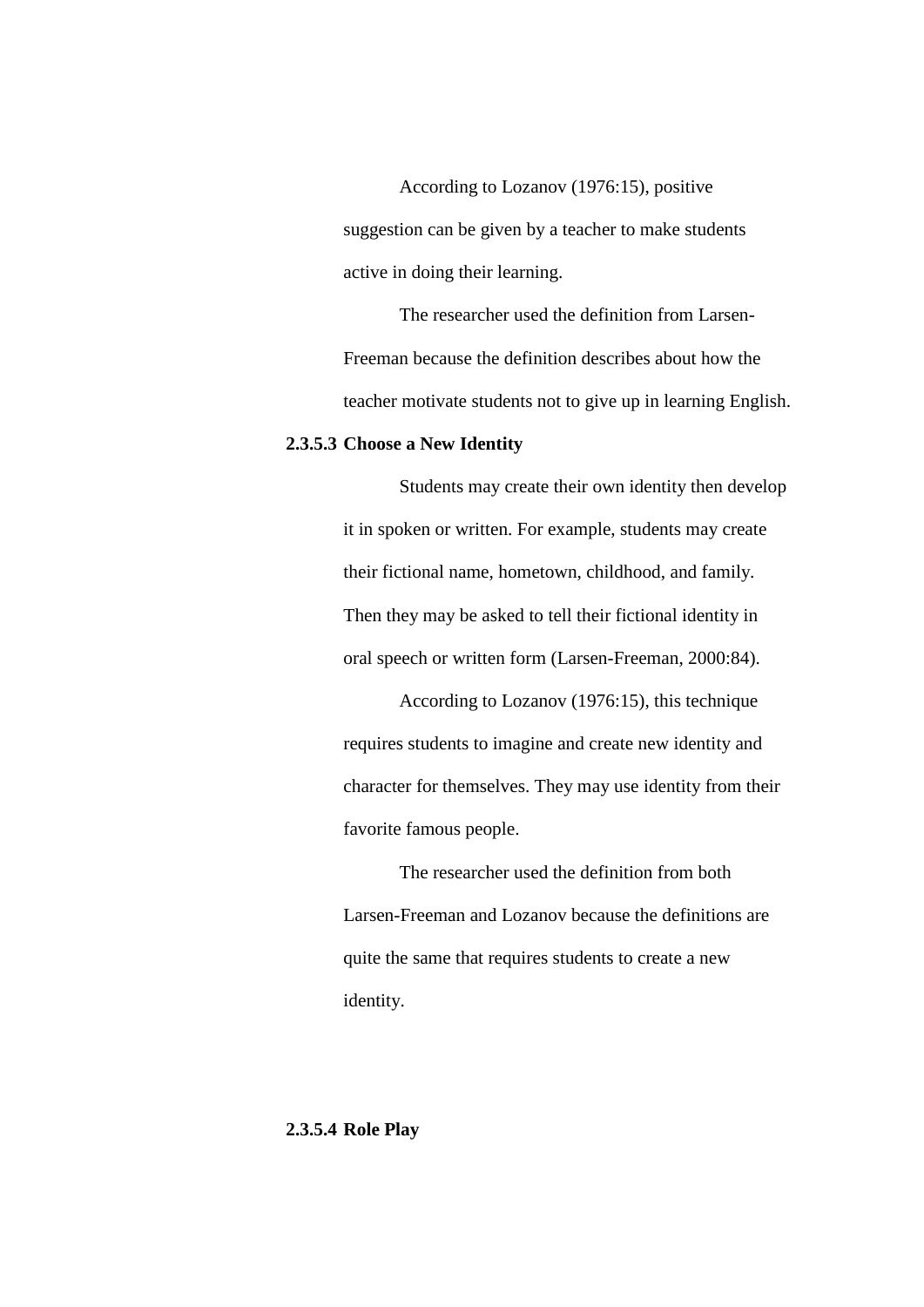According to Lozanov (1976:15), positive suggestion can be given by a teacher to make students active in doing their learning.

The researcher used the definition from Larsen-Freeman because the definition describes about how the teacher motivate students not to give up in learning English.

### **2.3.5.3 Choose a New Identity**

Students may create their own identity then develop it in spoken or written. For example, students may create their fictional name, hometown, childhood, and family. Then they may be asked to tell their fictional identity in oral speech or written form (Larsen-Freeman, 2000:84).

According to Lozanov (1976:15), this technique requires students to imagine and create new identity and character for themselves. They may use identity from their favorite famous people.

The researcher used the definition from both Larsen-Freeman and Lozanov because the definitions are quite the same that requires students to create a new identity.

# **2.3.5.4 Role Play**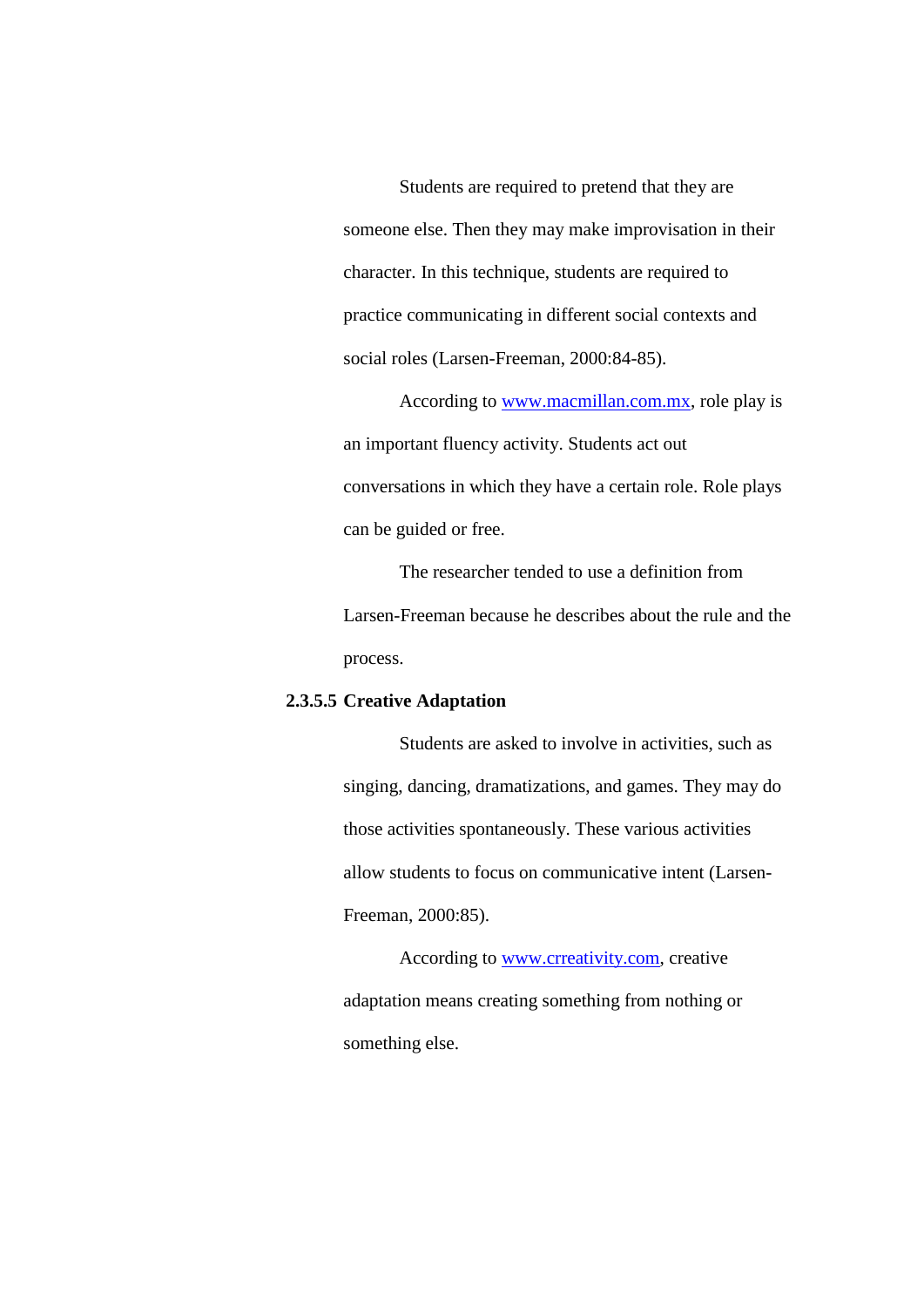Students are required to pretend that they are someone else. Then they may make improvisation in their character. In this technique, students are required to practice communicating in different social contexts and social roles (Larsen-Freeman, 2000:84-85).

According to [www.macmillan.com.mx,](http://www.macmillan.com.mx/) role play is an important fluency activity. Students act out conversations in which they have a certain role. Role plays can be guided or free.

The researcher tended to use a definition from Larsen-Freeman because he describes about the rule and the process.

### **2.3.5.5 Creative Adaptation**

Students are asked to involve in activities, such as singing, dancing, dramatizations, and games. They may do those activities spontaneously. These various activities allow students to focus on communicative intent (Larsen-Freeman, 2000:85).

According to [www.crreativity.com,](http://www.crreativity.com/) creative adaptation means creating something from nothing or something else.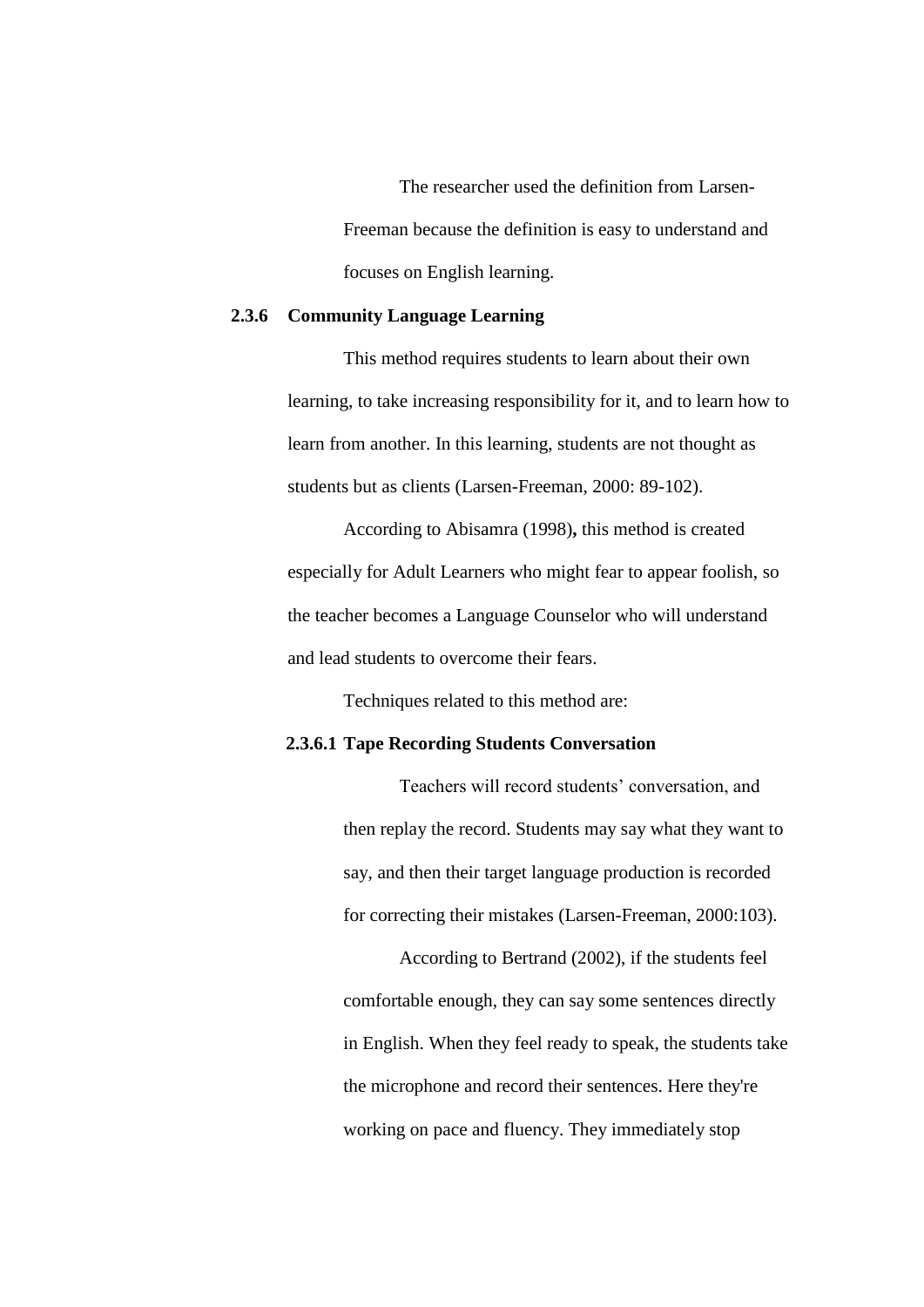The researcher used the definition from Larsen-Freeman because the definition is easy to understand and focuses on English learning.

### **2.3.6 Community Language Learning**

This method requires students to learn about their own learning, to take increasing responsibility for it, and to learn how to learn from another. In this learning, students are not thought as students but as clients (Larsen-Freeman, 2000: 89-102).

According to Abisamra (1998)**,** this method is created especially for Adult Learners who might fear to appear foolish, so the teacher becomes a Language Counselor who will understand and lead students to overcome their fears.

Techniques related to this method are:

#### **2.3.6.1 Tape Recording Students Conversation**

Teachers will record students' conversation, and then replay the record. Students may say what they want to say, and then their target language production is recorded for correcting their mistakes (Larsen-Freeman, 2000:103).

According to Bertrand (2002), if the students feel comfortable enough, they can say some sentences directly in English. When they feel ready to speak, the students take the microphone and record their sentences. Here they're working on pace and fluency. They immediately stop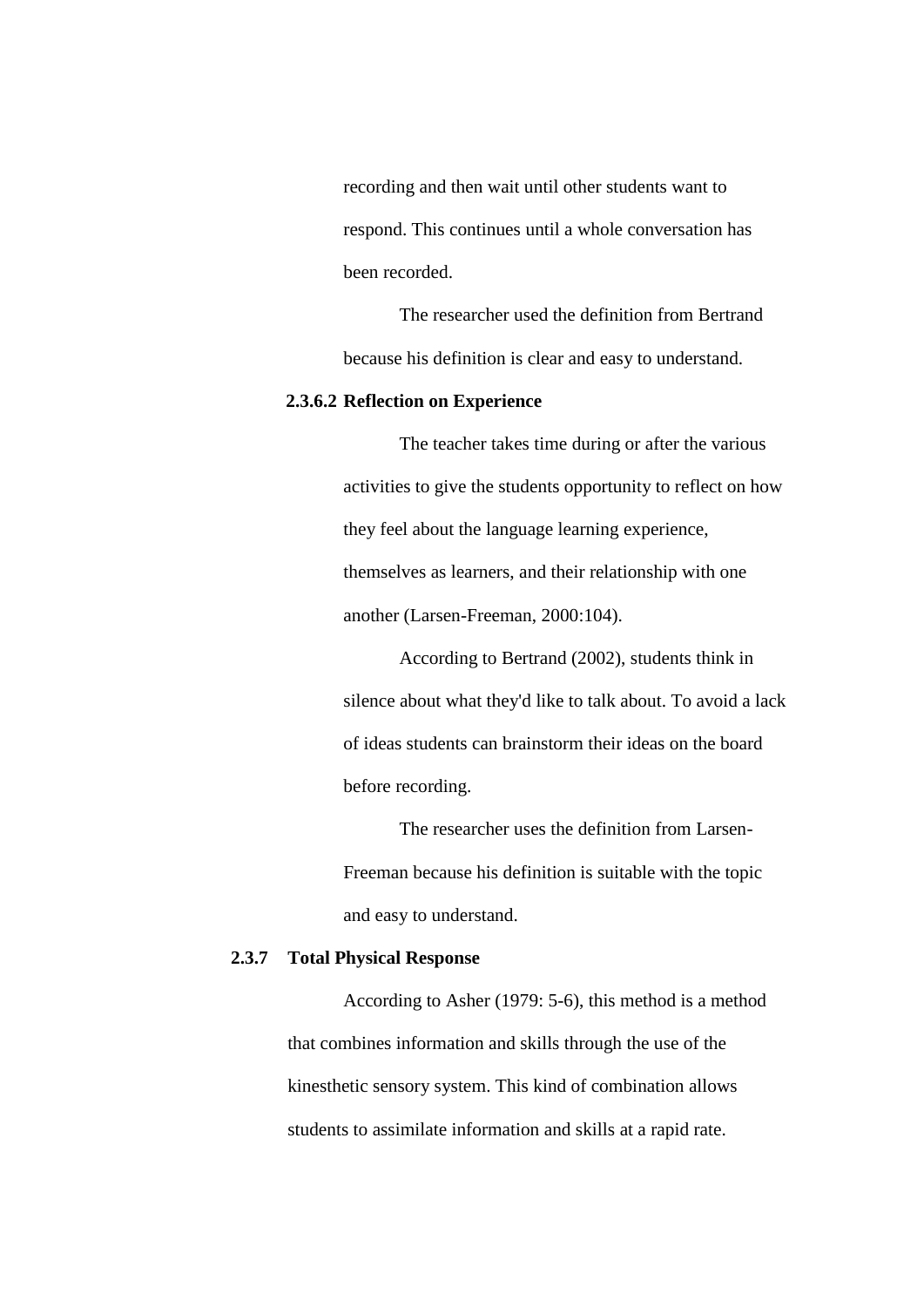recording and then wait until other students want to respond. This continues until a whole conversation has been recorded.

The researcher used the definition from Bertrand because his definition is clear and easy to understand.

### **2.3.6.2 Reflection on Experience**

The teacher takes time during or after the various activities to give the students opportunity to reflect on how they feel about the language learning experience, themselves as learners, and their relationship with one another (Larsen-Freeman, 2000:104).

According to Bertrand (2002), students think in silence about what they'd like to talk about. To avoid a lack of ideas students can brainstorm their ideas on the board before recording.

The researcher uses the definition from Larsen-Freeman because his definition is suitable with the topic and easy to understand.

# **2.3.7 Total Physical Response**

According to Asher (1979: 5-6), this method is a method that combines information and skills through the use of the kinesthetic sensory system. This kind of combination allows students to assimilate information and skills at a rapid rate.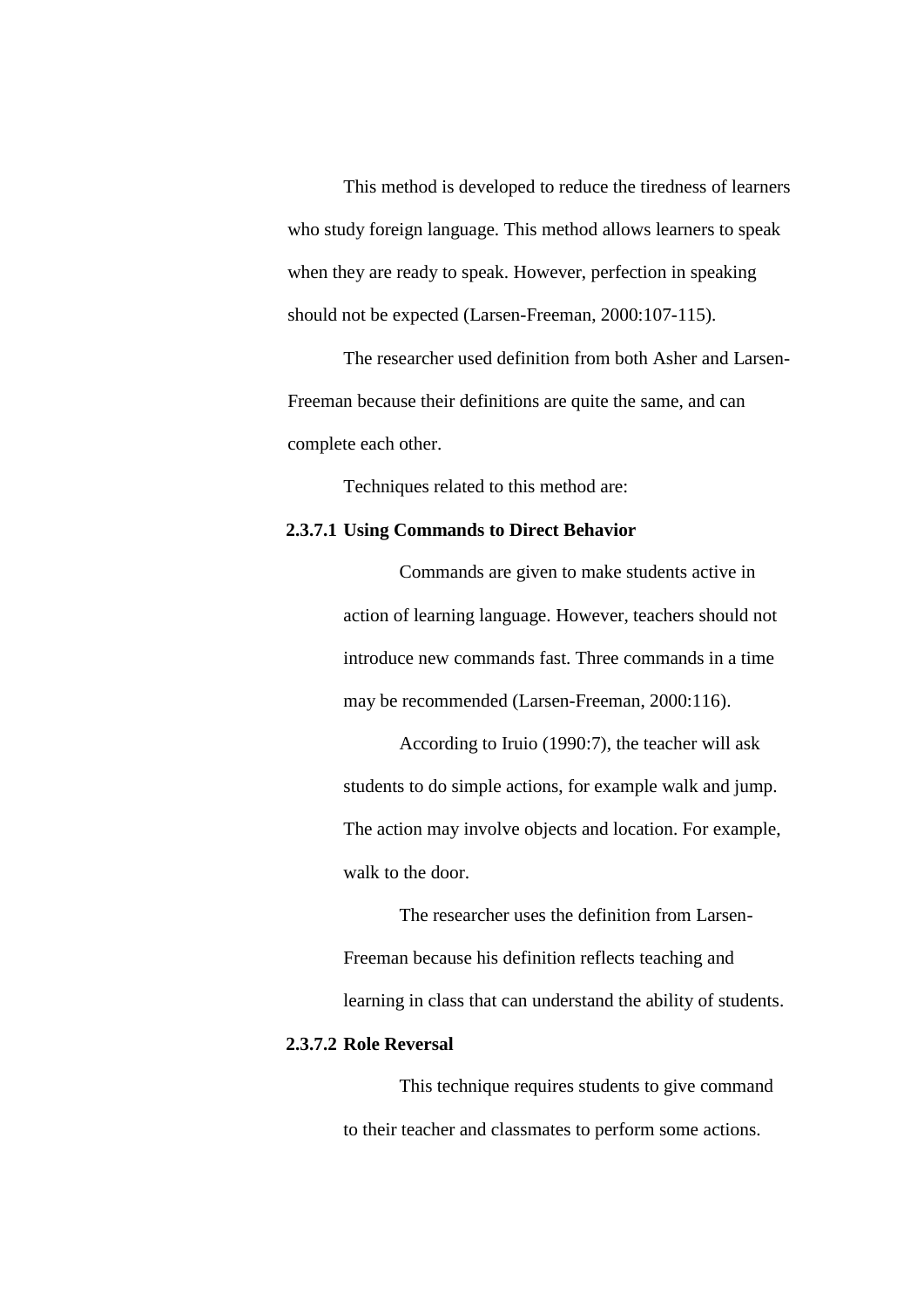This method is developed to reduce the tiredness of learners who study foreign language. This method allows learners to speak when they are ready to speak. However, perfection in speaking should not be expected (Larsen-Freeman, 2000:107-115).

The researcher used definition from both Asher and Larsen-Freeman because their definitions are quite the same, and can complete each other.

Techniques related to this method are:

#### **2.3.7.1 Using Commands to Direct Behavior**

Commands are given to make students active in action of learning language. However, teachers should not introduce new commands fast. Three commands in a time may be recommended (Larsen-Freeman, 2000:116).

According to Iruio (1990:7), the teacher will ask students to do simple actions, for example walk and jump. The action may involve objects and location. For example, walk to the door.

The researcher uses the definition from Larsen-Freeman because his definition reflects teaching and learning in class that can understand the ability of students.

# **2.3.7.2 Role Reversal**

This technique requires students to give command to their teacher and classmates to perform some actions.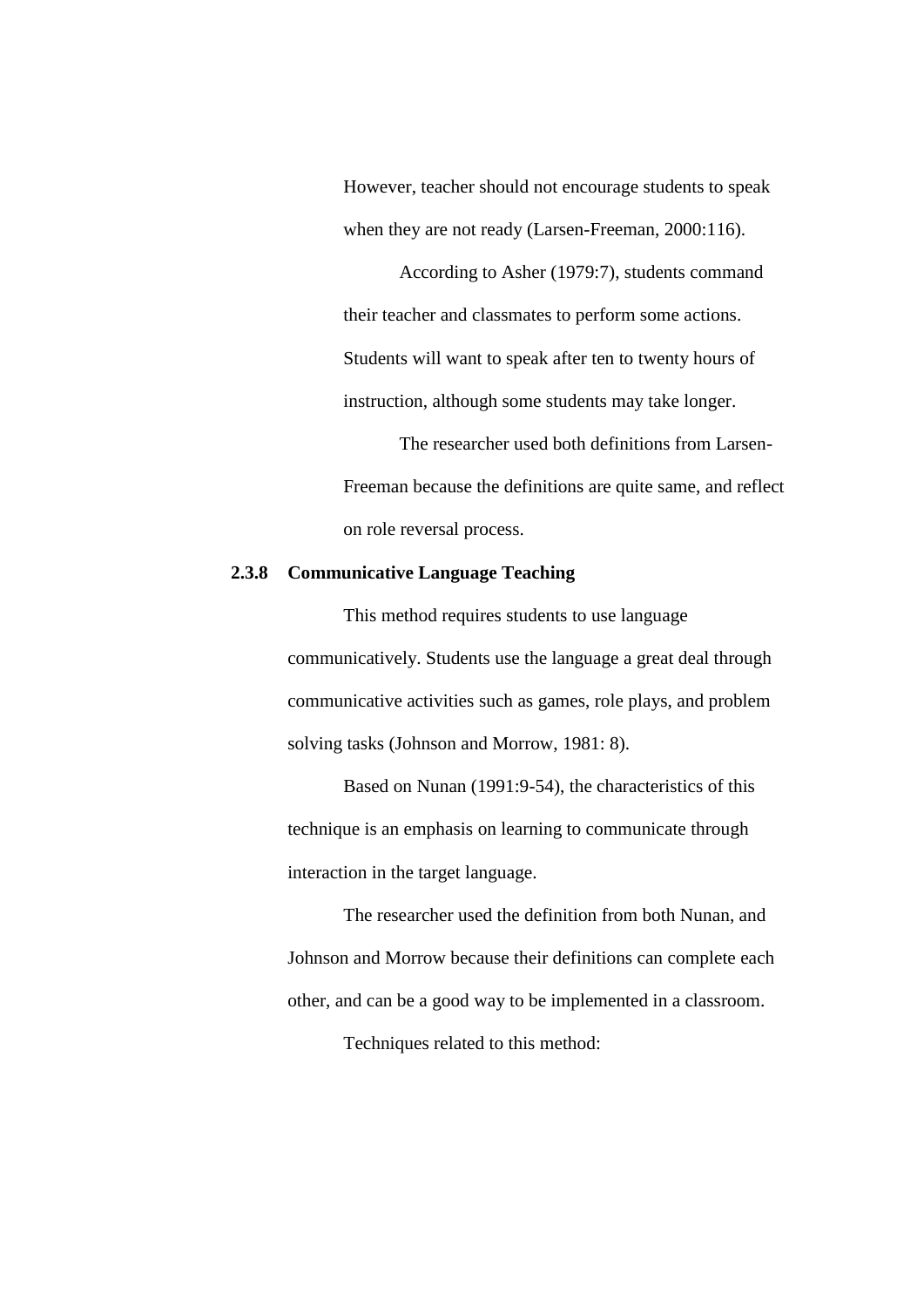However, teacher should not encourage students to speak when they are not ready (Larsen-Freeman, 2000:116).

According to Asher (1979:7), students command their teacher and classmates to perform some actions. Students will want to speak after ten to twenty hours of instruction, although some students may take longer.

The researcher used both definitions from Larsen-Freeman because the definitions are quite same, and reflect on role reversal process.

# **2.3.8 Communicative Language Teaching**

This method requires students to use language communicatively. Students use the language a great deal through communicative activities such as games, role plays, and problem solving tasks (Johnson and Morrow, 1981: 8).

Based on Nunan (1991:9-54), the characteristics of this technique is an emphasis on learning to communicate through interaction in the target language.

The researcher used the definition from both Nunan, and Johnson and Morrow because their definitions can complete each other, and can be a good way to be implemented in a classroom.

Techniques related to this method: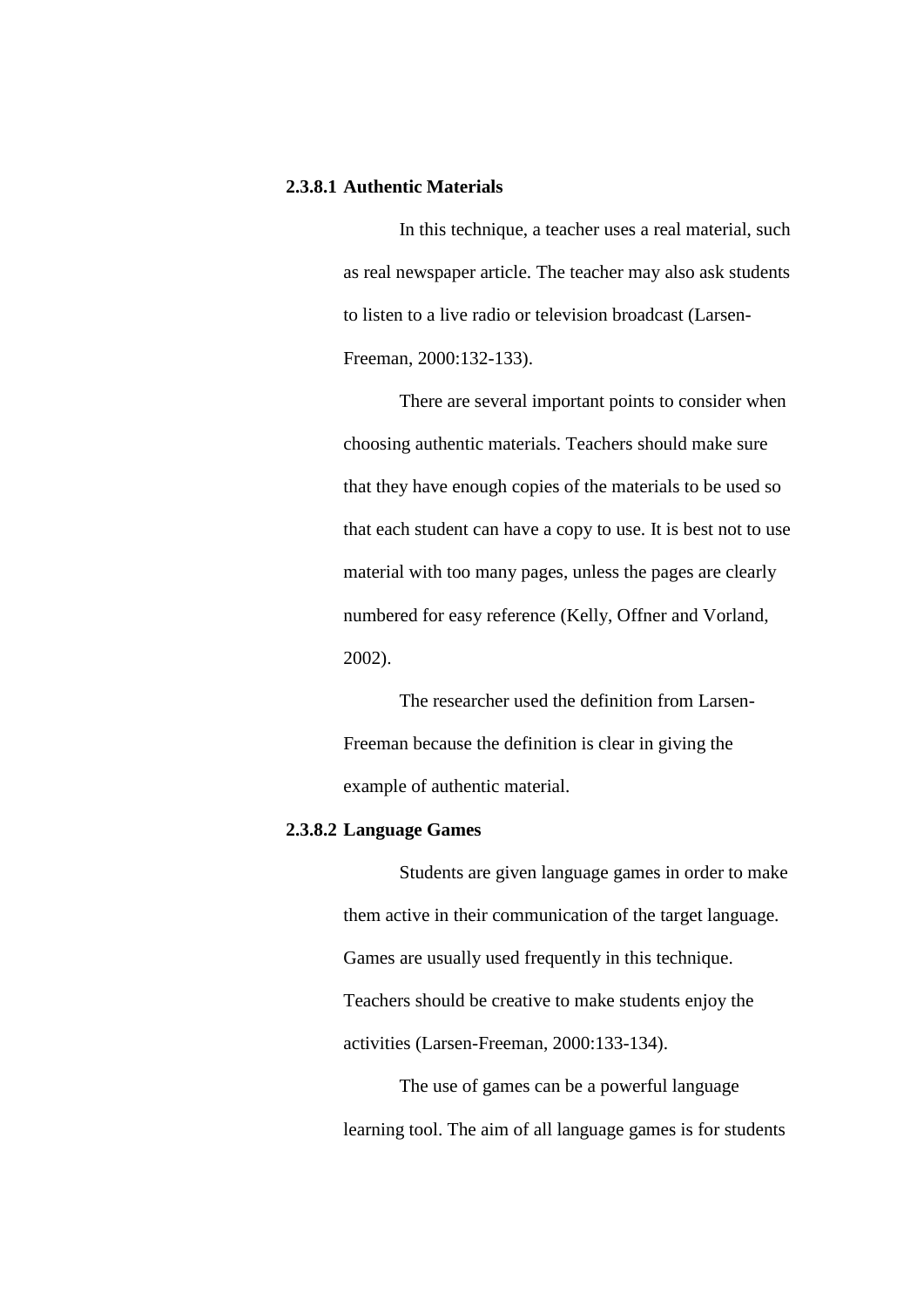### **2.3.8.1 Authentic Materials**

In this technique, a teacher uses a real material, such as real newspaper article. The teacher may also ask students to listen to a live radio or television broadcast (Larsen-Freeman, 2000:132-133).

There are several important points to consider when choosing authentic materials. Teachers should make sure that they have enough copies of the materials to be used so that each student can have a copy to use. It is best not to use material with too many pages, unless the pages are clearly numbered for easy reference (Kelly, Offner and Vorland, 2002).

The researcher used the definition from Larsen-Freeman because the definition is clear in giving the example of authentic material.

### **2.3.8.2 Language Games**

Students are given language games in order to make them active in their communication of the target language. Games are usually used frequently in this technique. Teachers should be creative to make students enjoy the activities (Larsen-Freeman, 2000:133-134).

The use of games can be a powerful language learning tool. The aim of all language games is for students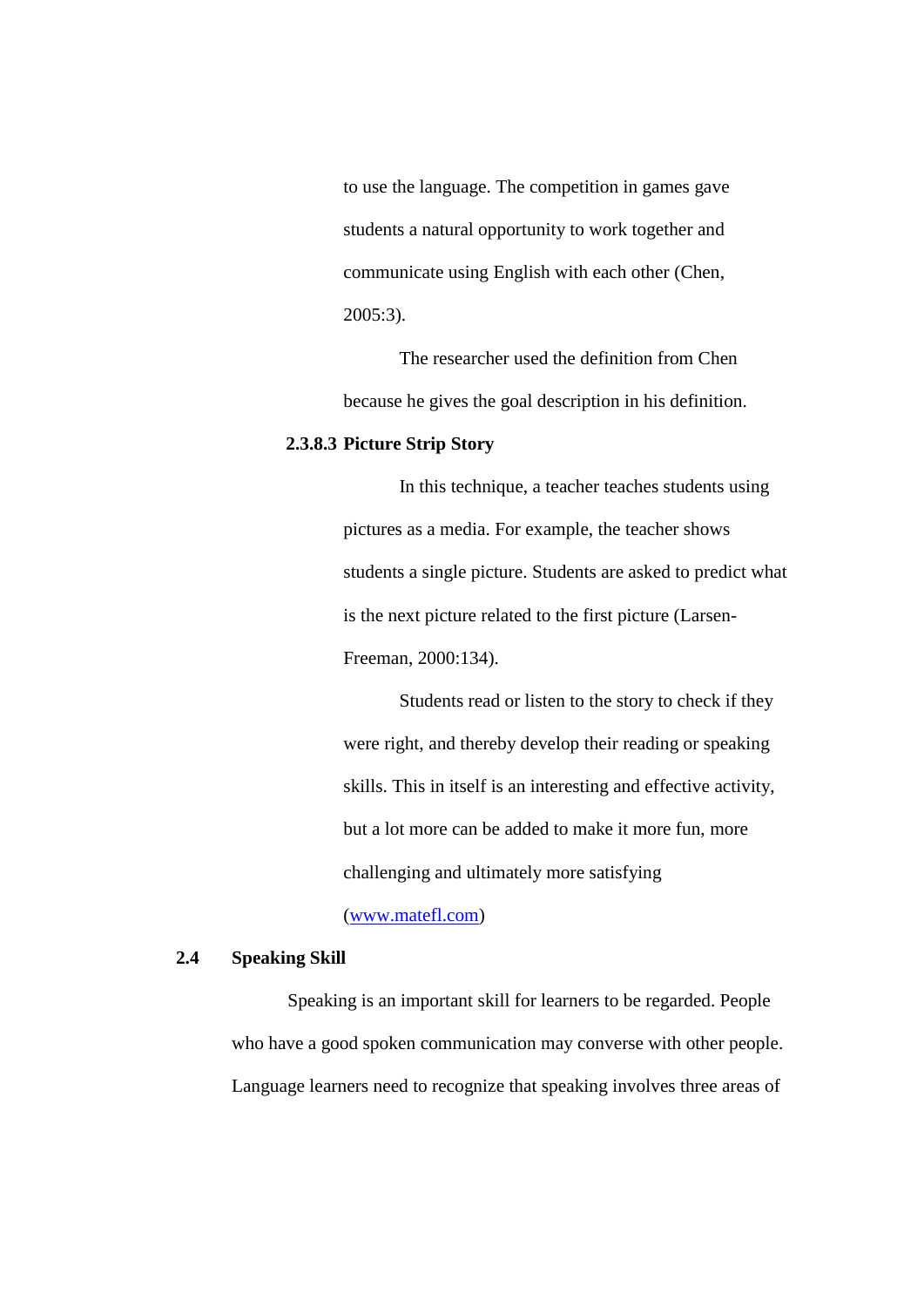to use the language. The competition in games gave students a natural opportunity to work together and communicate using English with each other (Chen, 2005:3).

The researcher used the definition from Chen because he gives the goal description in his definition.

#### **2.3.8.3 Picture Strip Story**

In this technique, a teacher teaches students using pictures as a media. For example, the teacher shows students a single picture. Students are asked to predict what is the next picture related to the first picture (Larsen-Freeman, 2000:134).

Students read or listen to the story to check if they were right, and thereby develop their reading or speaking skills. This in itself is an interesting and effective activity, but a lot more can be added to make it more fun, more challenging and ultimately more satisfying

# [\(www.matefl.com\)](http://www.matefl.com/)

### **2.4 Speaking Skill**

Speaking is an important skill for learners to be regarded. People who have a good spoken communication may converse with other people. Language learners need to recognize that speaking involves three areas of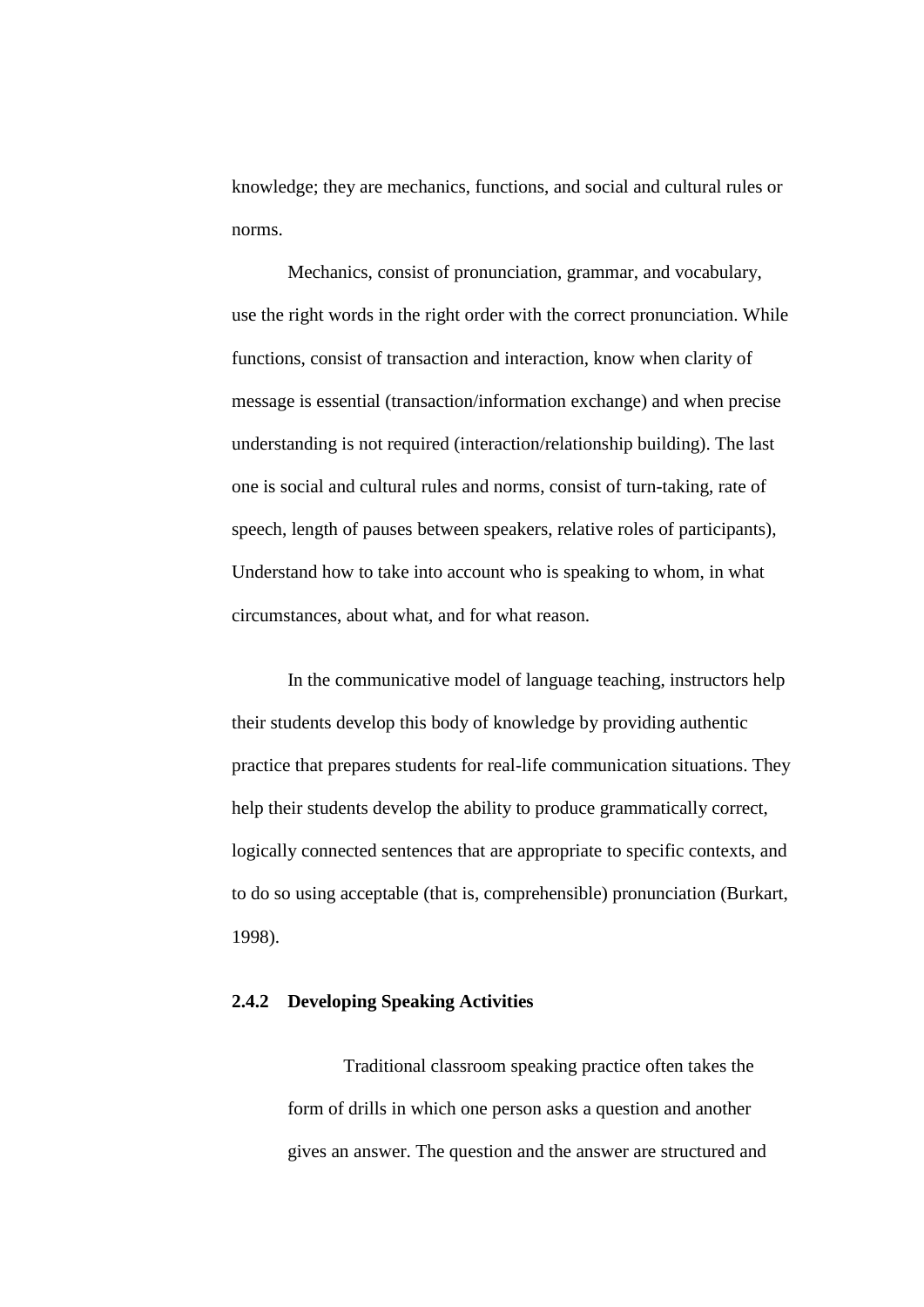knowledge; they are mechanics, functions, and social and cultural rules or norms.

Mechanics, consist of pronunciation, grammar, and vocabulary, use the right words in the right order with the correct pronunciation. While functions, consist of transaction and interaction, know when clarity of message is essential (transaction/information exchange) and when precise understanding is not required (interaction/relationship building). The last one is social and cultural rules and norms, consist of turn-taking, rate of speech, length of pauses between speakers, relative roles of participants), Understand how to take into account who is speaking to whom, in what circumstances, about what, and for what reason.

In the communicative model of language teaching, instructors help their students develop this body of knowledge by providing authentic practice that prepares students for real-life communication situations. They help their students develop the ability to produce grammatically correct, logically connected sentences that are appropriate to specific contexts, and to do so using acceptable (that is, comprehensible) pronunciation (Burkart, 1998).

### **2.4.2 Developing Speaking Activities**

Traditional classroom speaking practice often takes the form of drills in which one person asks a question and another gives an answer. The question and the answer are structured and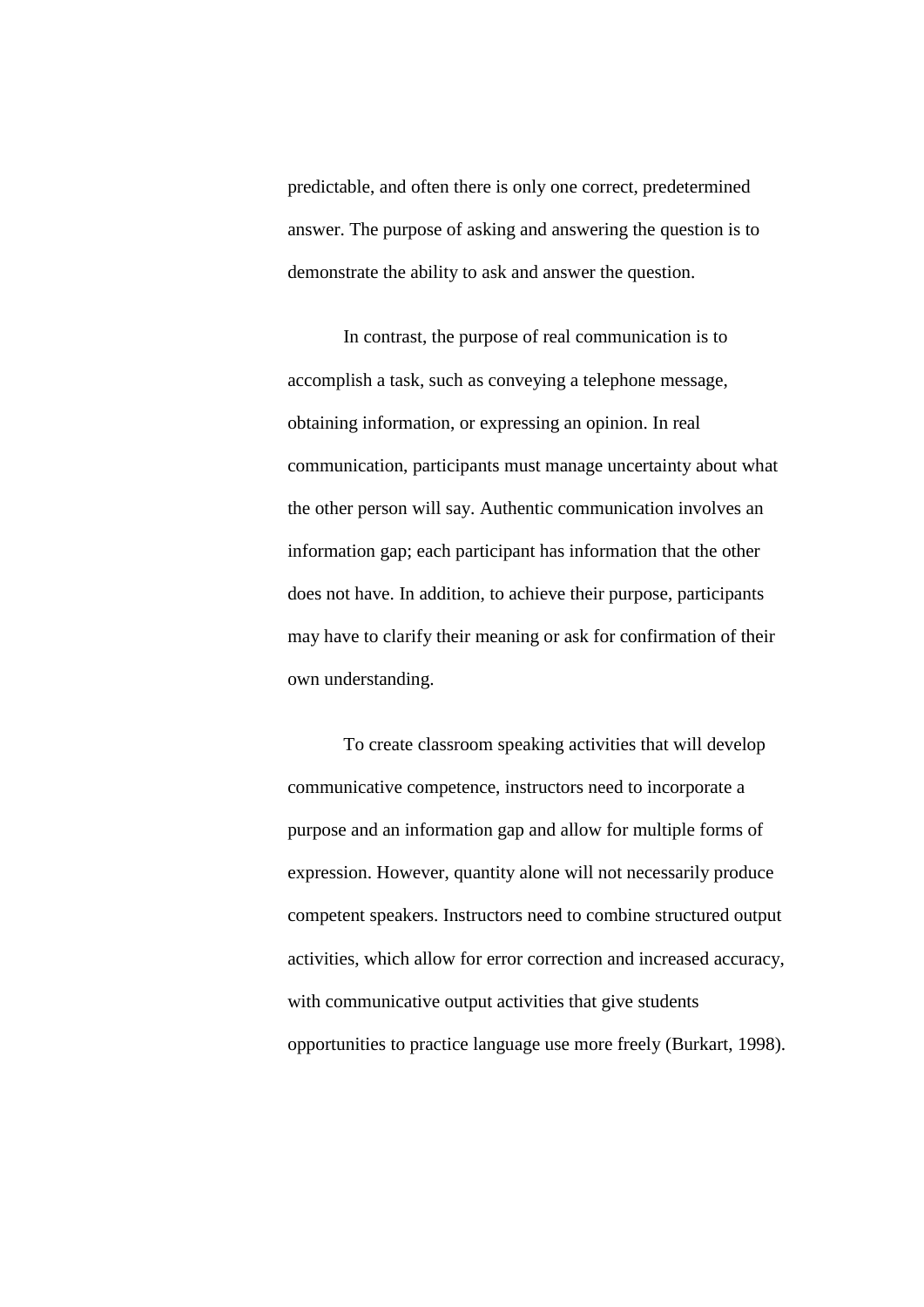predictable, and often there is only one correct, predetermined answer. The purpose of asking and answering the question is to demonstrate the ability to ask and answer the question.

In contrast, the purpose of real communication is to accomplish a task, such as conveying a telephone message, obtaining information, or expressing an opinion. In real communication, participants must manage uncertainty about what the other person will say. Authentic communication involves an information gap; each participant has information that the other does not have. In addition, to achieve their purpose, participants may have to clarify their meaning or ask for confirmation of their own understanding.

To create classroom speaking activities that will develop communicative competence, instructors need to incorporate a purpose and an information gap and allow for multiple forms of expression. However, quantity alone will not necessarily produce competent speakers. Instructors need to combine structured output activities, which allow for error correction and increased accuracy, with communicative output activities that give students opportunities to practice language use more freely (Burkart, 1998).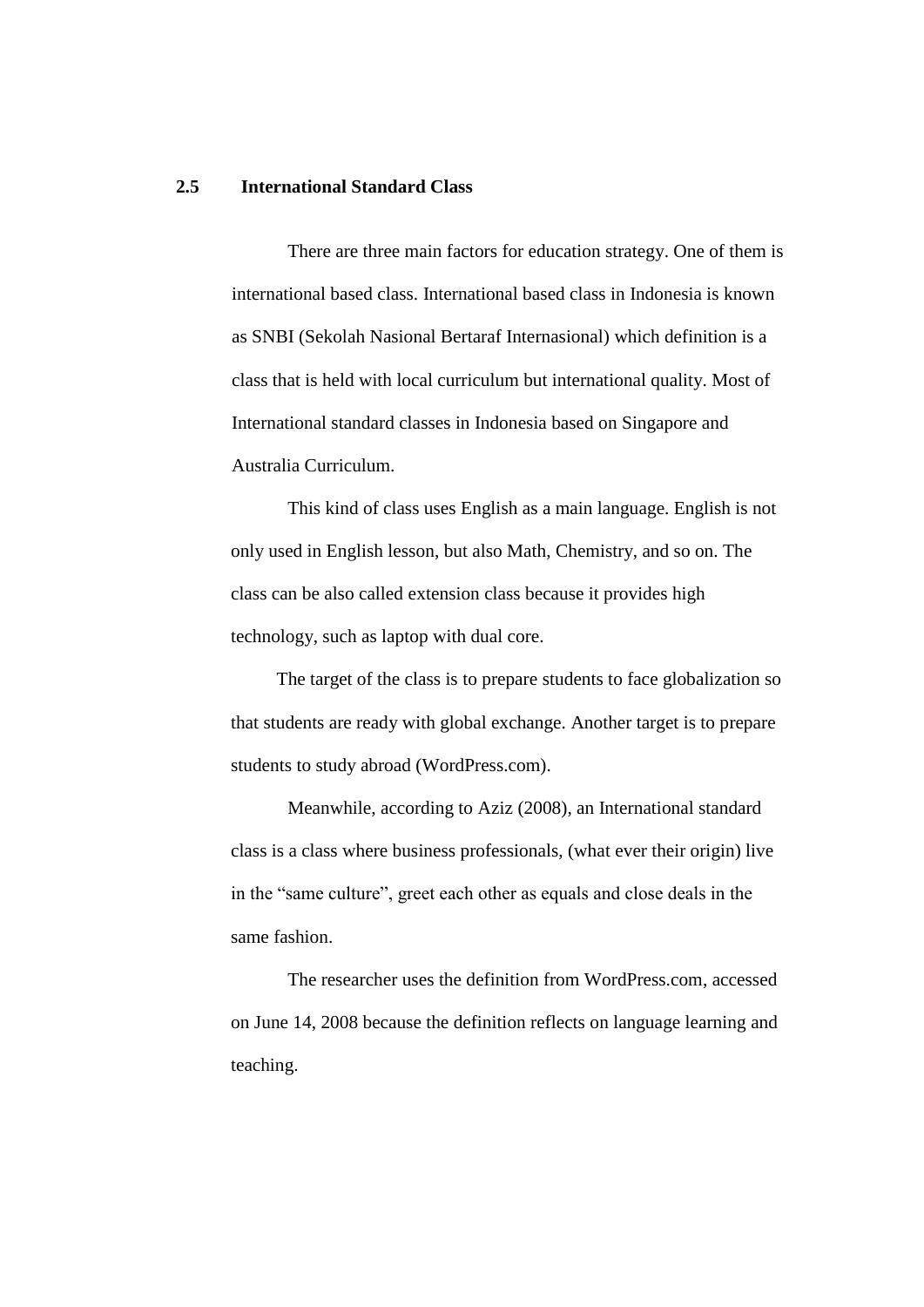### **2.5 International Standard Class**

There are three main factors for education strategy. One of them is international based class. International based class in Indonesia is known as SNBI (Sekolah Nasional Bertaraf Internasional) which definition is a class that is held with local curriculum but international quality. Most of International standard classes in Indonesia based on Singapore and Australia Curriculum.

This kind of class uses English as a main language. English is not only used in English lesson, but also Math, Chemistry, and so on. The class can be also called extension class because it provides high technology, such as laptop with dual core.

The target of the class is to prepare students to face globalization so that students are ready with global exchange. Another target is to prepare students to study abroad (WordPress.com).

Meanwhile, according to Aziz (2008), an International standard class is a class where business professionals, (what ever their origin) live in the "same culture", greet each other as equals and close deals in the same fashion.

The researcher uses the definition from WordPress.com, accessed on June 14, 2008 because the definition reflects on language learning and teaching.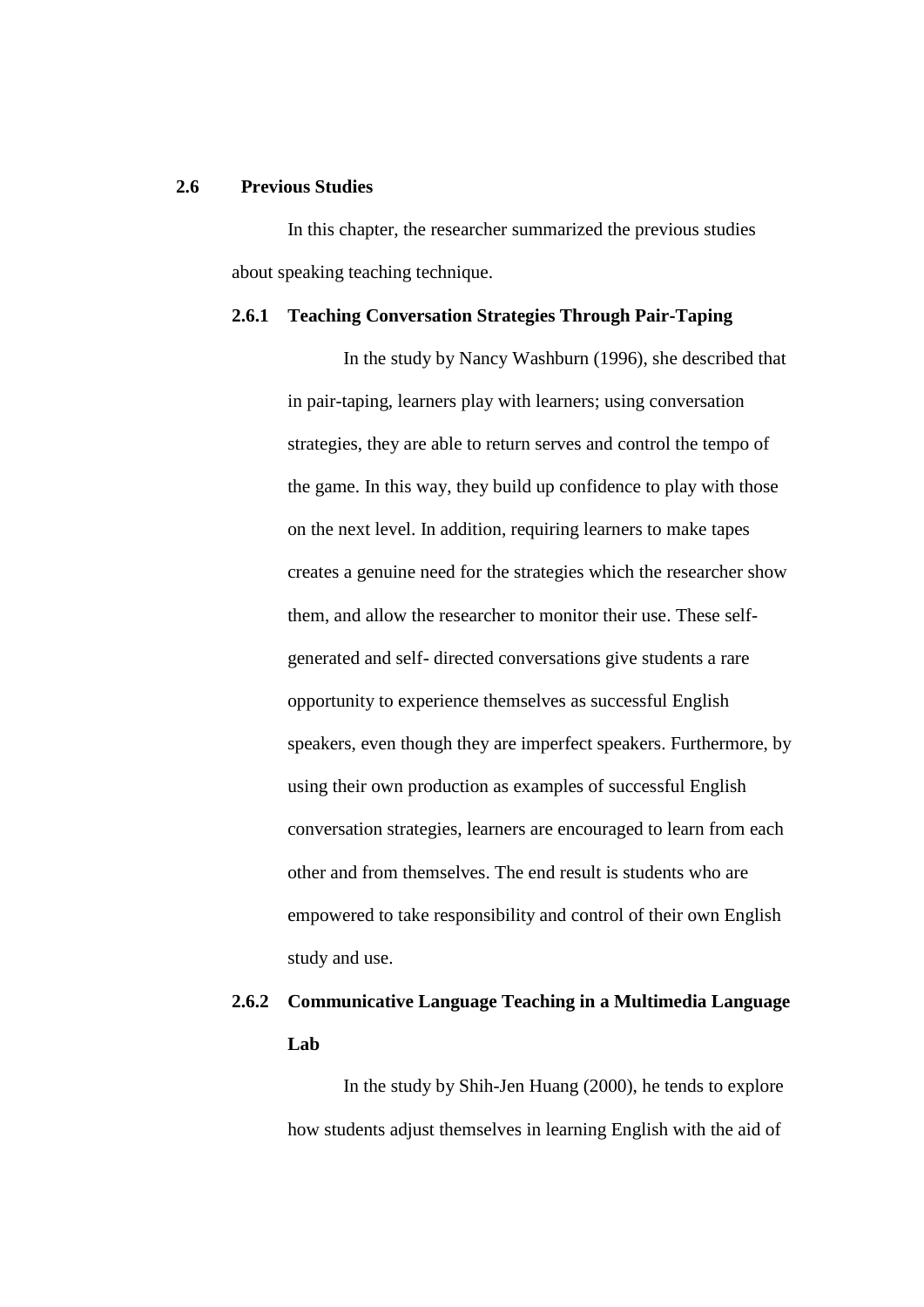# **2.6 Previous Studies**

In this chapter, the researcher summarized the previous studies about speaking teaching technique.

### **2.6.1 Teaching Conversation Strategies Through Pair-Taping**

In the study by Nancy Washburn (1996), she described that in pair-taping, learners play with learners; using conversation strategies, they are able to return serves and control the tempo of the game. In this way, they build up confidence to play with those on the next level. In addition, requiring learners to make tapes creates a genuine need for the strategies which the researcher show them, and allow the researcher to monitor their use. These selfgenerated and self- directed conversations give students a rare opportunity to experience themselves as successful English speakers, even though they are imperfect speakers. Furthermore, by using their own production as examples of successful English conversation strategies, learners are encouraged to learn from each other and from themselves. The end result is students who are empowered to take responsibility and control of their own English study and use.

# **2.6.2 Communicative Language Teaching in a Multimedia Language Lab**

In the study by Shih-Jen Huang (2000), he tends to explore how students adjust themselves in learning English with the aid of